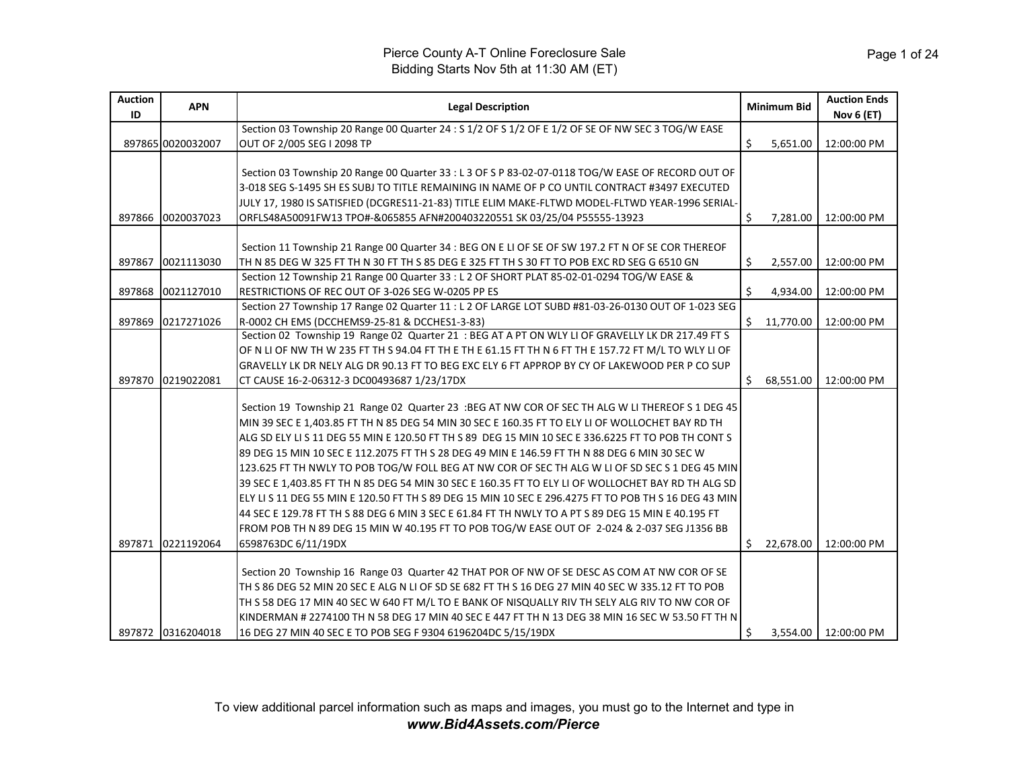| <b>Auction</b><br>ID | <b>APN</b>        | <b>Legal Description</b>                                                                                                                                                                                                                                                                                                                                                                                                                                                                                                                                                                                                                                                                                                                                                                                                                                                                                                                           |    | <b>Minimum Bid</b> | <b>Auction Ends</b><br>Nov 6 (ET) |
|----------------------|-------------------|----------------------------------------------------------------------------------------------------------------------------------------------------------------------------------------------------------------------------------------------------------------------------------------------------------------------------------------------------------------------------------------------------------------------------------------------------------------------------------------------------------------------------------------------------------------------------------------------------------------------------------------------------------------------------------------------------------------------------------------------------------------------------------------------------------------------------------------------------------------------------------------------------------------------------------------------------|----|--------------------|-----------------------------------|
|                      |                   | Section 03 Township 20 Range 00 Quarter 24 : S 1/2 OF S 1/2 OF E 1/2 OF SE OF NW SEC 3 TOG/W EASE                                                                                                                                                                                                                                                                                                                                                                                                                                                                                                                                                                                                                                                                                                                                                                                                                                                  |    |                    |                                   |
|                      | 897865 0020032007 | OUT OF 2/005 SEG I 2098 TP                                                                                                                                                                                                                                                                                                                                                                                                                                                                                                                                                                                                                                                                                                                                                                                                                                                                                                                         | Ś. | 5,651.00           | 12:00:00 PM                       |
| 897866               | 0020037023        | Section 03 Township 20 Range 00 Quarter 33 : L 3 OF S P 83-02-07-0118 TOG/W EASE OF RECORD OUT OF<br>3-018 SEG S-1495 SH ES SUBJ TO TITLE REMAINING IN NAME OF P CO UNTIL CONTRACT #3497 EXECUTED<br>JULY 17, 1980 IS SATISFIED (DCGRES11-21-83) TITLE ELIM MAKE-FLTWD MODEL-FLTWD YEAR-1996 SERIAL-<br>ORFLS48A50091FW13 TPO#-&065855 AFN#200403220551 SK 03/25/04 P55555-13923                                                                                                                                                                                                                                                                                                                                                                                                                                                                                                                                                                   | Ŝ. | 7,281.00           | 12:00:00 PM                       |
| 897867               | 0021113030        | Section 11 Township 21 Range 00 Quarter 34 : BEG ON E LI OF SE OF SW 197.2 FT N OF SE COR THEREOF<br>TH N 85 DEG W 325 FT TH N 30 FT TH S 85 DEG E 325 FT TH S 30 FT TO POB EXC RD SEG G 6510 GN                                                                                                                                                                                                                                                                                                                                                                                                                                                                                                                                                                                                                                                                                                                                                   | Ŝ. | 2,557.00           | 12:00:00 PM                       |
| 897868               | 0021127010        | Section 12 Township 21 Range 00 Quarter 33 : L 2 OF SHORT PLAT 85-02-01-0294 TOG/W EASE &<br>RESTRICTIONS OF REC OUT OF 3-026 SEG W-0205 PP ES                                                                                                                                                                                                                                                                                                                                                                                                                                                                                                                                                                                                                                                                                                                                                                                                     | Ś  | 4,934.00           | 12:00:00 PM                       |
| 897869               | 0217271026        | Section 27 Township 17 Range 02 Quarter 11 : L 2 OF LARGE LOT SUBD #81-03-26-0130 OUT OF 1-023 SEG<br>R-0002 CH EMS (DCCHEMS9-25-81 & DCCHES1-3-83)                                                                                                                                                                                                                                                                                                                                                                                                                                                                                                                                                                                                                                                                                                                                                                                                | Ŝ. | 11,770.00          | 12:00:00 PM                       |
| 897870               | 0219022081        | Section 02 Township 19 Range 02 Quarter 21 : BEG AT A PT ON WLY LI OF GRAVELLY LK DR 217.49 FT S<br>OF N LI OF NW TH W 235 FT TH S 94.04 FT TH E TH E 61.15 FT TH N 6 FT TH E 157.72 FT M/L TO WLY LI OF<br>GRAVELLY LK DR NELY ALG DR 90.13 FT TO BEG EXC ELY 6 FT APPROP BY CY OF LAKEWOOD PER P CO SUP<br>CT CAUSE 16-2-06312-3 DC00493687 1/23/17DX                                                                                                                                                                                                                                                                                                                                                                                                                                                                                                                                                                                            | S. | 68.551.00          | 12:00:00 PM                       |
| 897871               | 0221192064        | Section 19 Township 21 Range 02 Quarter 23 :BEG AT NW COR OF SEC TH ALG W LI THEREOF S 1 DEG 45<br>MIN 39 SEC E 1.403.85 FT TH N 85 DEG 54 MIN 30 SEC E 160.35 FT TO ELY LI OF WOLLOCHET BAY RD TH<br>ALG SD ELY LI S 11 DEG 55 MIN E 120.50 FT TH S 89 DEG 15 MIN 10 SEC E 336.6225 FT TO POB TH CONT S<br>89 DEG 15 MIN 10 SEC E 112.2075 FT TH S 28 DEG 49 MIN E 146.59 FT TH N 88 DEG 6 MIN 30 SEC W<br>123.625 FT TH NWLY TO POB TOG/W FOLL BEG AT NW COR OF SEC TH ALG W LI OF SD SEC S 1 DEG 45 MIN<br>39 SEC E 1,403.85 FT TH N 85 DEG 54 MIN 30 SEC E 160.35 FT TO ELY LI OF WOLLOCHET BAY RD TH ALG SD<br>ELY LIS 11 DEG 55 MIN E 120.50 FT TH S 89 DEG 15 MIN 10 SEC E 296.4275 FT TO POB TH S 16 DEG 43 MIN<br>44 SEC E 129.78 FT TH S 88 DEG 6 MIN 3 SEC E 61.84 FT TH NWLY TO A PT S 89 DEG 15 MIN E 40.195 FT<br>FROM POB TH N 89 DEG 15 MIN W 40.195 FT TO POB TOG/W EASE OUT OF 2-024 & 2-037 SEG J1356 BB<br>6598763DC 6/11/19DX | Ŝ. | 22,678.00          | 12:00:00 PM                       |
|                      | 897872 0316204018 | Section 20 Township 16 Range 03 Quarter 42 THAT POR OF NW OF SE DESC AS COM AT NW COR OF SE<br>TH S 86 DEG 52 MIN 20 SEC E ALG N LI OF SD SE 682 FT TH S 16 DEG 27 MIN 40 SEC W 335.12 FT TO POB<br>TH S 58 DEG 17 MIN 40 SEC W 640 FT M/L TO E BANK OF NISQUALLY RIV TH SELY ALG RIV TO NW COR OF<br>KINDERMAN # 2274100 TH N 58 DEG 17 MIN 40 SEC E 447 FT TH N 13 DEG 38 MIN 16 SEC W 53.50 FT TH N<br>16 DEG 27 MIN 40 SEC E TO POB SEG F 9304 6196204DC 5/15/19DX                                                                                                                                                                                                                                                                                                                                                                                                                                                                             | Ś  |                    | 3,554.00 12:00:00 PM              |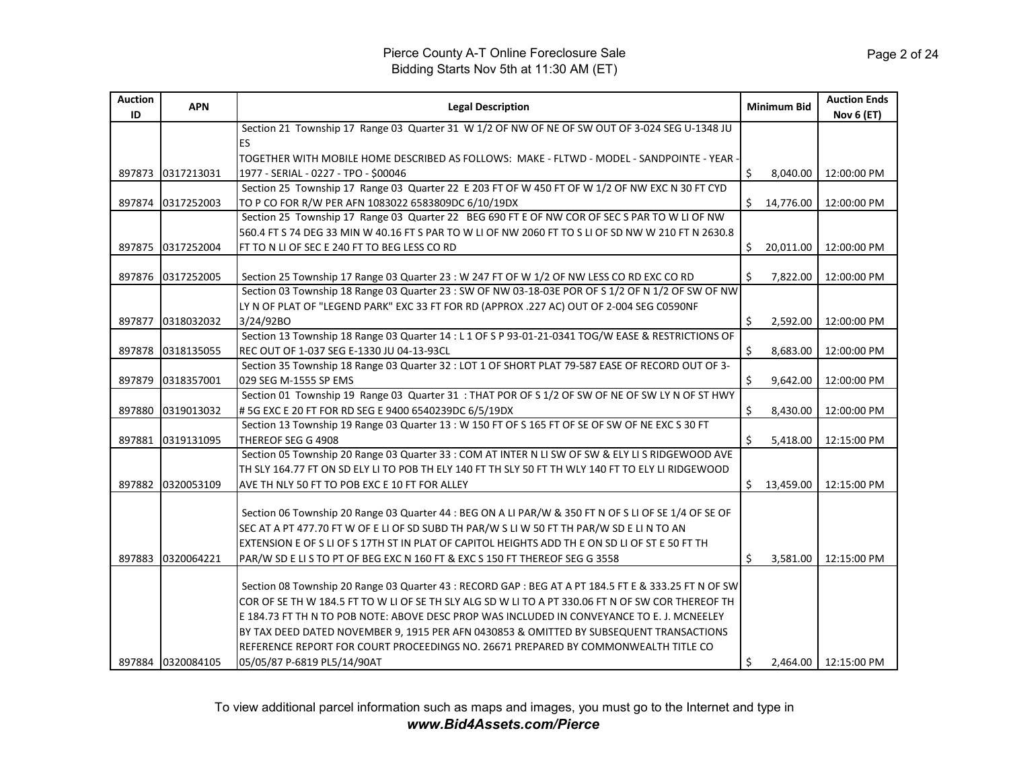| <b>Auction</b><br>ID | <b>APN</b>        | <b>Legal Description</b>                                                                             |    | <b>Minimum Bid</b> | <b>Auction Ends</b><br><b>Nov 6 (ET)</b> |
|----------------------|-------------------|------------------------------------------------------------------------------------------------------|----|--------------------|------------------------------------------|
|                      |                   | Section 21 Township 17 Range 03 Quarter 31 W 1/2 OF NW OF NE OF SW OUT OF 3-024 SEG U-1348 JU        |    |                    |                                          |
|                      |                   | ES                                                                                                   |    |                    |                                          |
|                      |                   | TOGETHER WITH MOBILE HOME DESCRIBED AS FOLLOWS:  MAKE - FLTWD - MODEL - SANDPOINTE - YEAR ·          |    |                    |                                          |
| 897873               | 0317213031        | 1977 - SERIAL - 0227 - TPO - \$00046                                                                 | Ŝ. | 8,040.00           | 12:00:00 PM                              |
|                      |                   | Section 25 Township 17 Range 03 Quarter 22 E 203 FT OF W 450 FT OF W 1/2 OF NW EXC N 30 FT CYD       |    |                    |                                          |
| 897874               | 0317252003        | TO P CO FOR R/W PER AFN 1083022 6583809DC 6/10/19DX                                                  | Ś. | 14,776.00          | 12:00:00 PM                              |
|                      |                   | Section 25 Township 17 Range 03 Quarter 22 BEG 690 FT E OF NW COR OF SEC S PAR TO W LI OF NW         |    |                    |                                          |
|                      |                   | 560.4 FT S 74 DEG 33 MIN W 40.16 FT S PAR TO W LI OF NW 2060 FT TO S LI OF SD NW W 210 FT N 2630.8   |    |                    |                                          |
| 897875               | 0317252004        | FT TO N LI OF SEC E 240 FT TO BEG LESS CO RD                                                         | \$ | 20,011.00          | 12:00:00 PM                              |
|                      |                   |                                                                                                      |    |                    |                                          |
| 897876               | 0317252005        | Section 25 Township 17 Range 03 Quarter 23 : W 247 FT OF W 1/2 OF NW LESS CO RD EXC CO RD            | Ŝ. | 7,822.00           | 12:00:00 PM                              |
|                      |                   | Section 03 Township 18 Range 03 Quarter 23 : SW OF NW 03-18-03E POR OF S 1/2 OF N 1/2 OF SW OF NW    |    |                    |                                          |
|                      |                   | LY N OF PLAT OF "LEGEND PARK" EXC 33 FT FOR RD (APPROX .227 AC) OUT OF 2-004 SEG C0590NF             |    |                    |                                          |
| 897877               | 0318032032        | 3/24/92BO                                                                                            | Ŝ. | 2,592.00           | 12:00:00 PM                              |
|                      |                   | Section 13 Township 18 Range 03 Quarter 14 : L 1 OF S P 93-01-21-0341 TOG/W EASE & RESTRICTIONS OF   |    |                    |                                          |
| 897878               | 0318135055        | REC OUT OF 1-037 SEG E-1330 JU 04-13-93CL                                                            | Ŝ. | 8,683.00           | 12:00:00 PM                              |
|                      |                   | Section 35 Township 18 Range 03 Quarter 32 : LOT 1 OF SHORT PLAT 79-587 EASE OF RECORD OUT OF 3-     |    |                    |                                          |
| 897879               | 0318357001        | 029 SEG M-1555 SP EMS                                                                                | Ś. | 9,642.00           | 12:00:00 PM                              |
|                      |                   | Section 01 Township 19 Range 03 Quarter 31 : THAT POR OF S 1/2 OF SW OF NE OF SW LY N OF ST HWY      |    |                    |                                          |
| 897880               | 0319013032        | #5G EXC E 20 FT FOR RD SEG E 9400 6540239DC 6/5/19DX                                                 | \$ | 8,430.00           | 12:00:00 PM                              |
|                      |                   | Section 13 Township 19 Range 03 Quarter 13 : W 150 FT OF S 165 FT OF SE OF SW OF NE EXC S 30 FT      |    |                    |                                          |
| 897881               | 0319131095        | THEREOF SEG G 4908                                                                                   | Ś  | 5,418.00           | 12:15:00 PM                              |
|                      |                   | Section 05 Township 20 Range 03 Quarter 33 : COM AT INTER N LI SW OF SW & ELY LI S RIDGEWOOD AVE     |    |                    |                                          |
|                      |                   | TH SLY 164.77 FT ON SD ELY LI TO POB TH ELY 140 FT TH SLY 50 FT TH WLY 140 FT TO ELY LI RIDGEWOOD    |    |                    |                                          |
| 897882               | 0320053109        | AVE TH NLY 50 FT TO POB EXC E 10 FT FOR ALLEY                                                        | Ś. | 13,459.00          | 12:15:00 PM                              |
|                      |                   |                                                                                                      |    |                    |                                          |
|                      |                   | Section 06 Township 20 Range 03 Quarter 44 : BEG ON A LI PAR/W & 350 FT N OF S LI OF SE 1/4 OF SE OF |    |                    |                                          |
|                      |                   | SEC AT A PT 477.70 FT W OF E LI OF SD SUBD TH PAR/W S LI W 50 FT TH PAR/W SD E LI N TO AN            |    |                    |                                          |
|                      |                   | EXTENSION E OF S LI OF S 17TH ST IN PLAT OF CAPITOL HEIGHTS ADD TH E ON SD LI OF ST E 50 FT TH       |    |                    |                                          |
| 897883               | 0320064221        | PAR/W SD E LI S TO PT OF BEG EXC N 160 FT & EXC S 150 FT THEREOF SEG G 3558                          | Ś  | 3,581.00           | 12:15:00 PM                              |
|                      |                   |                                                                                                      |    |                    |                                          |
|                      |                   | Section 08 Township 20 Range 03 Quarter 43 : RECORD GAP : BEG AT A PT 184.5 FT E & 333.25 FT N OF SW |    |                    |                                          |
|                      |                   | COR OF SE TH W 184.5 FT TO W LI OF SE TH SLY ALG SD W LI TO A PT 330.06 FT N OF SW COR THEREOF TH    |    |                    |                                          |
|                      |                   | E 184.73 FT TH N TO POB NOTE: ABOVE DESC PROP WAS INCLUDED IN CONVEYANCE TO E. J. MCNEELEY           |    |                    |                                          |
|                      |                   | BY TAX DEED DATED NOVEMBER 9, 1915 PER AFN 0430853 & OMITTED BY SUBSEQUENT TRANSACTIONS              |    |                    |                                          |
|                      |                   | IREFERENCE REPORT FOR COURT PROCEEDINGS NO. 26671 PREPARED BY COMMONWEALTH TITLE CO                  |    |                    |                                          |
|                      | 897884 0320084105 | 05/05/87 P-6819 PL5/14/90AT                                                                          | Ŝ. |                    | 2,464.00   12:15:00 PM                   |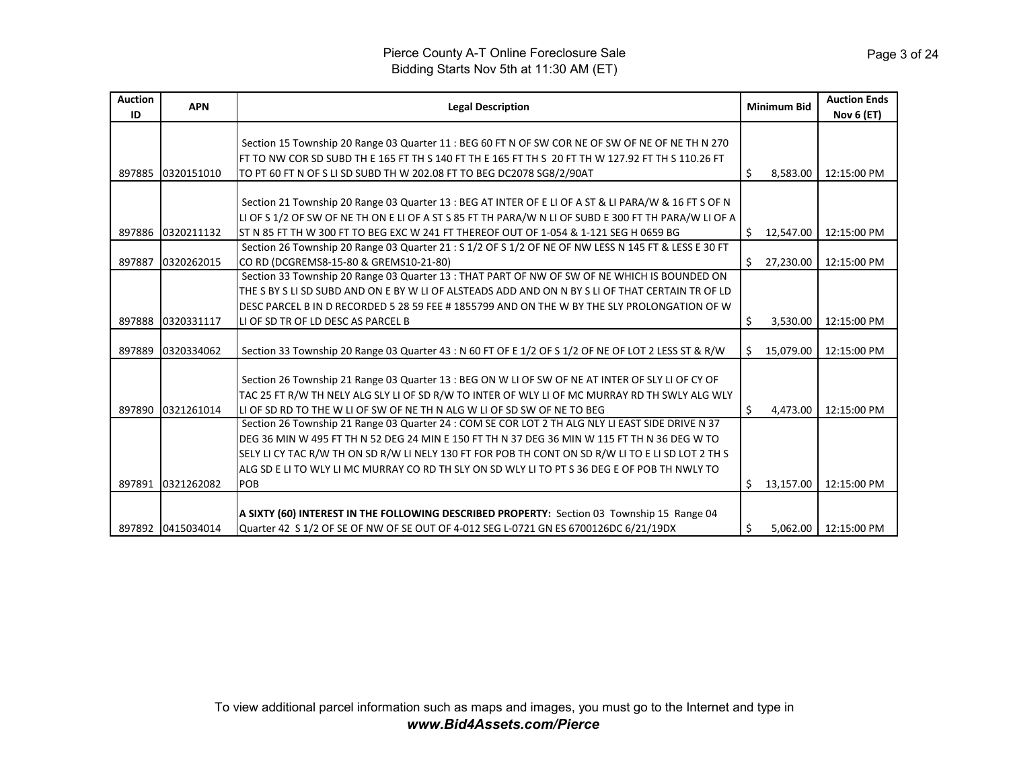| <b>Auction</b><br>ID | <b>APN</b>        | <b>Legal Description</b>                                                                             |    | <b>Minimum Bid</b> | <b>Auction Ends</b><br><b>Nov 6 (ET)</b> |
|----------------------|-------------------|------------------------------------------------------------------------------------------------------|----|--------------------|------------------------------------------|
|                      |                   |                                                                                                      |    |                    |                                          |
|                      |                   | Section 15 Township 20 Range 03 Quarter 11 : BEG 60 FT N OF SW COR NE OF SW OF NE OF NE TH N 270     |    |                    |                                          |
|                      |                   | FT TO NW COR SD SUBD TH E 165 FT TH S 140 FT TH E 165 FT TH S 20 FT TH W 127.92 FT TH S 110.26 FT    |    |                    |                                          |
| 897885               | 0320151010        | TO PT 60 FT N OF S LI SD SUBD TH W 202.08 FT TO BEG DC2078 SG8/2/90AT                                | \$ | 8,583.00           | 12:15:00 PM                              |
|                      |                   |                                                                                                      |    |                    |                                          |
|                      |                   | Section 21 Township 20 Range 03 Quarter 13 : BEG AT INTER OF E LI OF A ST & LI PARA/W & 16 FT S OF N |    |                    |                                          |
|                      |                   | LI OF S 1/2 OF SW OF NE TH ON E LI OF A ST S 85 FT TH PARA/W N LI OF SUBD E 300 FT TH PARA/W LI OF A |    |                    |                                          |
| 897886               | 0320211132        | ST N 85 FT TH W 300 FT TO BEG EXC W 241 FT THEREOF OUT OF 1-054 & 1-121 SEG H 0659 BG                | Ś. | 12,547.00          | 12:15:00 PM                              |
|                      |                   | Section 26 Township 20 Range 03 Quarter 21: S 1/2 OF S 1/2 OF NE OF NW LESS N 145 FT & LESS E 30 FT  |    |                    |                                          |
| 897887               | 0320262015        | CO RD (DCGREMS8-15-80 & GREMS10-21-80)                                                               | Ś. | 27,230.00          | 12:15:00 PM                              |
|                      |                   | Section 33 Township 20 Range 03 Quarter 13 : THAT PART OF NW OF SW OF NE WHICH IS BOUNDED ON         |    |                    |                                          |
|                      |                   | THE S BY S LI SD SUBD AND ON E BY W LI OF ALSTEADS ADD AND ON N BY S LI OF THAT CERTAIN TR OF LD     |    |                    |                                          |
|                      |                   | DESC PARCEL B IN D RECORDED 5 28 59 FEE # 1855799 AND ON THE W BY THE SLY PROLONGATION OF W          |    |                    |                                          |
| 897888               | 0320331117        | LI OF SD TR OF LD DESC AS PARCEL B                                                                   | \$ | 3,530.00           | 12:15:00 PM                              |
|                      |                   |                                                                                                      |    |                    |                                          |
| 897889               | 0320334062        | Section 33 Township 20 Range 03 Quarter 43 : N 60 FT OF E 1/2 OF S 1/2 OF NE OF LOT 2 LESS ST & R/W  | Ś. | 15,079.00          | 12:15:00 PM                              |
|                      |                   |                                                                                                      |    |                    |                                          |
|                      |                   | Section 26 Township 21 Range 03 Quarter 13 : BEG ON W LI OF SW OF NE AT INTER OF SLY LI OF CY OF     |    |                    |                                          |
|                      |                   | TAC 25 FT R/W TH NELY ALG SLY LI OF SD R/W TO INTER OF WLY LI OF MC MURRAY RD TH SWLY ALG WLY        |    |                    |                                          |
| 897890               | 0321261014        | LI OF SD RD TO THE W LI OF SW OF NE TH N ALG W LI OF SD SW OF NE TO BEG                              | Ś. | 4.473.00           | 12:15:00 PM                              |
|                      |                   | Section 26 Township 21 Range 03 Quarter 24 : COM SE COR LOT 2 TH ALG NLY LI EAST SIDE DRIVE N 37     |    |                    |                                          |
|                      |                   | DEG 36 MIN W 495 FT TH N 52 DEG 24 MIN E 150 FT TH N 37 DEG 36 MIN W 115 FT TH N 36 DEG W TO         |    |                    |                                          |
|                      |                   | SELY LI CY TAC R/W TH ON SD R/W LI NELY 130 FT FOR POB TH CONT ON SD R/W LI TO E LI SD LOT 2 TH S    |    |                    |                                          |
|                      |                   | ALG SD E LI TO WLY LI MC MURRAY CO RD TH SLY ON SD WLY LI TO PT S 36 DEG E OF POB TH NWLY TO         |    |                    |                                          |
| 897891               | 0321262082        | POB                                                                                                  | Ś. | 13,157.00          | 12:15:00 PM                              |
|                      |                   |                                                                                                      |    |                    |                                          |
|                      |                   | A SIXTY (60) INTEREST IN THE FOLLOWING DESCRIBED PROPERTY: Section 03 Township 15 Range 04           |    |                    |                                          |
|                      | 897892 0415034014 | Quarter 42 S 1/2 OF SE OF NW OF SE OUT OF 4-012 SEG L-0721 GN ES 6700126DC 6/21/19DX                 | Ś  | 5,062.00           | 12:15:00 PM                              |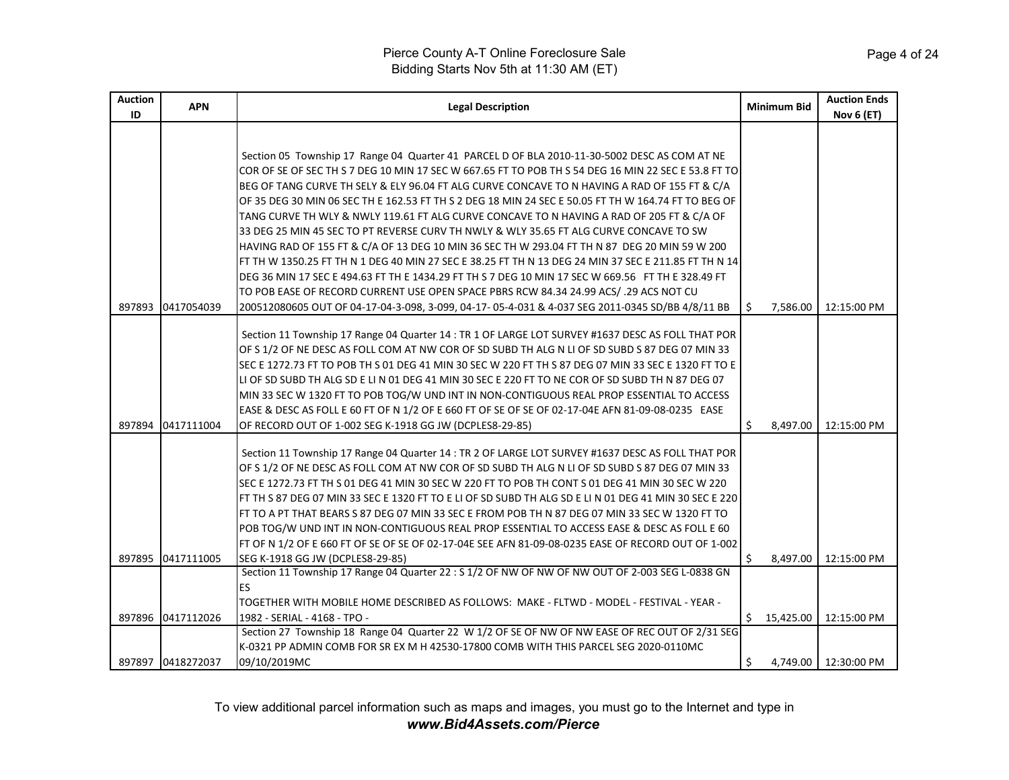| Auction<br>ID | <b>APN</b>        | <b>Legal Description</b>                                                                              |    | Minimum Bid | <b>Auction Ends</b><br><b>Nov 6 (ET)</b> |
|---------------|-------------------|-------------------------------------------------------------------------------------------------------|----|-------------|------------------------------------------|
|               |                   |                                                                                                       |    |             |                                          |
|               |                   | Section 05 Township 17 Range 04 Quarter 41 PARCEL D OF BLA 2010-11-30-5002 DESC AS COM AT NE          |    |             |                                          |
|               |                   | COR OF SE OF SEC TH S 7 DEG 10 MIN 17 SEC W 667.65 FT TO POB TH S 54 DEG 16 MIN 22 SEC E 53.8 FT TO   |    |             |                                          |
|               |                   | BEG OF TANG CURVE TH SELY & ELY 96.04 FT ALG CURVE CONCAVE TO N HAVING A RAD OF 155 FT & C/A          |    |             |                                          |
|               |                   | OF 35 DEG 30 MIN 06 SEC TH E 162.53 FT TH S 2 DEG 18 MIN 24 SEC E 50.05 FT TH W 164.74 FT TO BEG OF   |    |             |                                          |
|               |                   | TANG CURVE TH WLY & NWLY 119.61 FT ALG CURVE CONCAVE TO N HAVING A RAD OF 205 FT & C/A OF             |    |             |                                          |
|               |                   | 33 DEG 25 MIN 45 SEC TO PT REVERSE CURV TH NWLY & WLY 35.65 FT ALG CURVE CONCAVE TO SW                |    |             |                                          |
|               |                   | HAVING RAD OF 155 FT & C/A OF 13 DEG 10 MIN 36 SEC TH W 293.04 FT TH N 87 DEG 20 MIN 59 W 200         |    |             |                                          |
|               |                   | FT TH W 1350.25 FT TH N 1 DEG 40 MIN 27 SEC E 38.25 FT TH N 13 DEG 24 MIN 37 SEC E 211.85 FT TH N 14  |    |             |                                          |
|               |                   | DEG 36 MIN 17 SEC E 494.63 FT TH E 1434.29 FT TH S 7 DEG 10 MIN 17 SEC W 669.56 FT TH E 328.49 FT     |    |             |                                          |
|               |                   | TO POB EASE OF RECORD CURRENT USE OPEN SPACE PBRS RCW 84.34 24.99 ACS/ .29 ACS NOT CU                 |    |             |                                          |
| 897893        | 0417054039        | 200512080605 OUT OF 04-17-04-3-098, 3-099, 04-17-05-4-031 & 4-037 SEG 2011-0345 SD/BB 4/8/11 BB       | Ŝ. | 7,586.00    | 12:15:00 PM                              |
|               |                   |                                                                                                       |    |             |                                          |
|               |                   | Section 11 Township 17 Range 04 Quarter 14 : TR 1 OF LARGE LOT SURVEY #1637 DESC AS FOLL THAT POR     |    |             |                                          |
|               |                   | OF S 1/2 OF NE DESC AS FOLL COM AT NW COR OF SD SUBD TH ALG N LI OF SD SUBD S 87 DEG 07 MIN 33        |    |             |                                          |
|               |                   | SEC E 1272.73 FT TO POB TH S 01 DEG 41 MIN 30 SEC W 220 FT TH S 87 DEG 07 MIN 33 SEC E 1320 FT TO E   |    |             |                                          |
|               |                   | LI OF SD SUBD TH ALG SD E LI N 01 DEG 41 MIN 30 SEC E 220 FT TO NE COR OF SD SUBD TH N 87 DEG 07      |    |             |                                          |
|               |                   | MIN 33 SEC W 1320 FT TO POB TOG/W UND INT IN NON-CONTIGUOUS REAL PROP ESSENTIAL TO ACCESS             |    |             |                                          |
|               |                   | EASE & DESC AS FOLL E 60 FT OF N 1/2 OF E 660 FT OF SE OF SE OF 02-17-04E AFN 81-09-08-0235 EASE      |    |             |                                          |
| 897894        | 0417111004        | OF RECORD OUT OF 1-002 SEG K-1918 GG JW (DCPLES8-29-85)                                               | Ś. | 8,497.00    | 12:15:00 PM                              |
|               |                   | Section 11 Township 17 Range 04 Quarter 14 : TR 2 OF LARGE LOT SURVEY #1637 DESC AS FOLL THAT POR     |    |             |                                          |
|               |                   | OF S 1/2 OF NE DESC AS FOLL COM AT NW COR OF SD SUBD TH ALG N LI OF SD SUBD S 87 DEG 07 MIN 33        |    |             |                                          |
|               |                   | SEC E 1272.73 FT TH S 01 DEG 41 MIN 30 SEC W 220 FT TO POB TH CONT S 01 DEG 41 MIN 30 SEC W 220       |    |             |                                          |
|               |                   | FT TH S 87 DEG 07 MIN 33 SEC E 1320 FT TO E LI OF SD SUBD TH ALG SD E LI N 01 DEG 41 MIN 30 SEC E 220 |    |             |                                          |
|               |                   | FT TO A PT THAT BEARS S 87 DEG 07 MIN 33 SEC E FROM POB TH N 87 DEG 07 MIN 33 SEC W 1320 FT TO        |    |             |                                          |
|               |                   | POB TOG/W UND INT IN NON-CONTIGUOUS REAL PROP ESSENTIAL TO ACCESS EASE & DESC AS FOLL E 60            |    |             |                                          |
|               |                   | FT OF N 1/2 OF E 660 FT OF SE OF SE OF 02-17-04E SEE AFN 81-09-08-0235 EASE OF RECORD OUT OF 1-002    |    |             |                                          |
| 897895        | 0417111005        | SEG K-1918 GG JW (DCPLES8-29-85)                                                                      | Ŝ. | 8,497.00    | 12:15:00 PM                              |
|               |                   | Section 11 Township 17 Range 04 Quarter 22 : S 1/2 OF NW OF NW OF NW OUT OF 2-003 SEG L-0838 GN       |    |             |                                          |
|               |                   | <b>ES</b>                                                                                             |    |             |                                          |
|               |                   | TOGETHER WITH MOBILE HOME DESCRIBED AS FOLLOWS: MAKE - FLTWD - MODEL - FESTIVAL - YEAR -              |    |             |                                          |
|               | 897896 0417112026 | 1982 - SERIAL - 4168 - TPO -                                                                          |    | 15,425.00   | 12:15:00 PM                              |
|               |                   | Section 27 Township 18 Range 04 Quarter 22 W 1/2 OF SE OF NW OF NW EASE OF REC OUT OF 2/31 SEG        |    |             |                                          |
|               |                   | K-0321 PP ADMIN COMB FOR SR EX M H 42530-17800 COMB WITH THIS PARCEL SEG 2020-0110MC                  |    |             |                                          |
|               | 897897 0418272037 | 09/10/2019MC                                                                                          | \$ |             | 4.749.00   12:30:00 PM                   |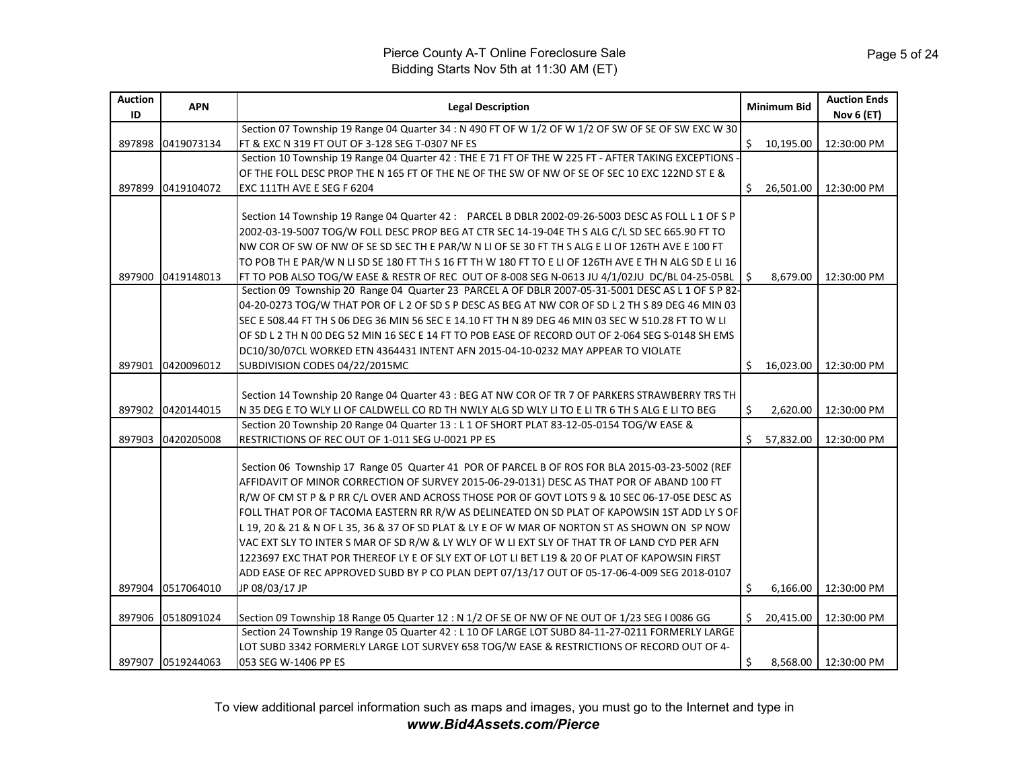| <b>Auction</b> | <b>APN</b>        | <b>Legal Description</b>                                                                              | <b>Minimum Bid</b> |           | <b>Auction Ends</b>  |
|----------------|-------------------|-------------------------------------------------------------------------------------------------------|--------------------|-----------|----------------------|
| ID             |                   | Section 07 Township 19 Range 04 Quarter 34 : N 490 FT OF W 1/2 OF W 1/2 OF SW OF SE OF SW EXC W 30    |                    |           | Nov 6 (ET)           |
| 897898         | 0419073134        | FT & EXC N 319 FT OUT OF 3-128 SEG T-0307 NF ES                                                       | Ś.                 | 10,195.00 | 12:30:00 PM          |
|                |                   | Section 10 Township 19 Range 04 Quarter 42 : THE E 71 FT OF THE W 225 FT - AFTER TAKING EXCEPTIONS    |                    |           |                      |
|                |                   | OF THE FOLL DESC PROP THE N 165 FT OF THE NE OF THE SW OF NW OF SE OF SEC 10 EXC 122ND ST E &         |                    |           |                      |
| 897899         | 0419104072        | <b>EXC 111TH AVE E SEG F 6204</b>                                                                     | Ś.                 | 26,501.00 | 12:30:00 PM          |
|                |                   |                                                                                                       |                    |           |                      |
|                |                   | Section 14 Township 19 Range 04 Quarter 42 : PARCEL B DBLR 2002-09-26-5003 DESC AS FOLL L 1 OF S P    |                    |           |                      |
|                |                   | 2002-03-19-5007 TOG/W FOLL DESC PROP BEG AT CTR SEC 14-19-04E TH S ALG C/L SD SEC 665.90 FT TO        |                    |           |                      |
|                |                   | NW COR OF SW OF NW OF SE SD SEC TH E PAR/W N LI OF SE 30 FT TH S ALG E LI OF 126TH AVE E 100 FT       |                    |           |                      |
|                |                   | TO POB TH E PAR/W N LI SD SE 180 FT TH S 16 FT TH W 180 FT TO E LI OF 126TH AVE E TH N ALG SD E LI 16 |                    |           |                      |
| 897900         | 0419148013        | FT TO POB ALSO TOG/W EASE & RESTR OF REC OUT OF 8-008 SEG N-0613 JU 4/1/02JU DC/BL 04-25-05BL         | S                  | 8,679.00  | 12:30:00 PM          |
|                |                   | Section 09 Township 20 Range 04 Quarter 23 PARCEL A OF DBLR 2007-05-31-5001 DESC AS L 1 OF S P 82-    |                    |           |                      |
|                |                   | 04-20-0273 TOG/W THAT POR OF L 2 OF SD S P DESC AS BEG AT NW COR OF SD L 2 TH S 89 DEG 46 MIN 03      |                    |           |                      |
|                |                   | SEC E 508.44 FT TH S 06 DEG 36 MIN 56 SEC E 14.10 FT TH N 89 DEG 46 MIN 03 SEC W 510.28 FT TO W LI    |                    |           |                      |
|                |                   | OF SD L 2 TH N 00 DEG 52 MIN 16 SEC E 14 FT TO POB EASE OF RECORD OUT OF 2-064 SEG S-0148 SH EMS      |                    |           |                      |
|                |                   | DC10/30/07CL WORKED ETN 4364431 INTENT AFN 2015-04-10-0232 MAY APPEAR TO VIOLATE                      |                    |           |                      |
|                | 897901 0420096012 | SUBDIVISION CODES 04/22/2015MC                                                                        | Ŝ.                 | 16,023.00 | 12:30:00 PM          |
|                |                   |                                                                                                       |                    |           |                      |
|                |                   | Section 14 Township 20 Range 04 Quarter 43 : BEG AT NW COR OF TR 7 OF PARKERS STRAWBERRY TRS TH       |                    |           |                      |
| 897902         | 0420144015        | N 35 DEG E TO WLY LI OF CALDWELL CO RD TH NWLY ALG SD WLY LI TO E LI TR 6 TH S ALG E LI TO BEG        | Ś.                 | 2,620.00  | 12:30:00 PM          |
|                |                   | Section 20 Township 20 Range 04 Quarter 13 : L 1 OF SHORT PLAT 83-12-05-0154 TOG/W EASE &             |                    |           |                      |
| 897903         | 0420205008        | RESTRICTIONS OF REC OUT OF 1-011 SEG U-0021 PP ES                                                     | Ś                  | 57,832.00 | 12:30:00 PM          |
|                |                   | Section 06 Township 17 Range 05 Quarter 41 POR OF PARCEL B OF ROS FOR BLA 2015-03-23-5002 (REF        |                    |           |                      |
|                |                   | AFFIDAVIT OF MINOR CORRECTION OF SURVEY 2015-06-29-0131) DESC AS THAT POR OF ABAND 100 FT             |                    |           |                      |
|                |                   | R/W OF CM ST P & P RR C/L OVER AND ACROSS THOSE POR OF GOVT LOTS 9 & 10 SEC 06-17-05E DESC AS         |                    |           |                      |
|                |                   | FOLL THAT POR OF TACOMA EASTERN RR R/W AS DELINEATED ON SD PLAT OF KAPOWSIN 1ST ADD LY S OF           |                    |           |                      |
|                |                   | L 19, 20 & 21 & N OF L 35, 36 & 37 OF SD PLAT & LY E OF W MAR OF NORTON ST AS SHOWN ON SP NOW         |                    |           |                      |
|                |                   | VAC EXT SLY TO INTER S MAR OF SD R/W & LY WLY OF W LI EXT SLY OF THAT TR OF LAND CYD PER AFN          |                    |           |                      |
|                |                   | 1223697 EXC THAT POR THEREOF LY E OF SLY EXT OF LOT LI BET L19 & 20 OF PLAT OF KAPOWSIN FIRST         |                    |           |                      |
|                |                   | ADD EASE OF REC APPROVED SUBD BY P CO PLAN DEPT 07/13/17 OUT OF 05-17-06-4-009 SEG 2018-0107          |                    |           |                      |
| 897904         | 0517064010        | JP 08/03/17 JP                                                                                        | \$                 | 6,166.00  | 12:30:00 PM          |
|                |                   |                                                                                                       |                    |           |                      |
| 897906         | 0518091024        | Section 09 Township 18 Range 05 Quarter 12 : N 1/2 OF SE OF NW OF NE OUT OF 1/23 SEG I 0086 GG        | Ś                  | 20,415.00 | 12:30:00 PM          |
|                |                   | Section 24 Township 19 Range 05 Quarter 42 : L 10 OF LARGE LOT SUBD 84-11-27-0211 FORMERLY LARGE      |                    |           |                      |
|                |                   | LOT SUBD 3342 FORMERLY LARGE LOT SURVEY 658 TOG/W EASE & RESTRICTIONS OF RECORD OUT OF 4-             |                    |           |                      |
|                | 897907 0519244063 | 053 SEG W-1406 PP ES                                                                                  | Ŝ.                 |           | 8,568.00 12:30:00 PM |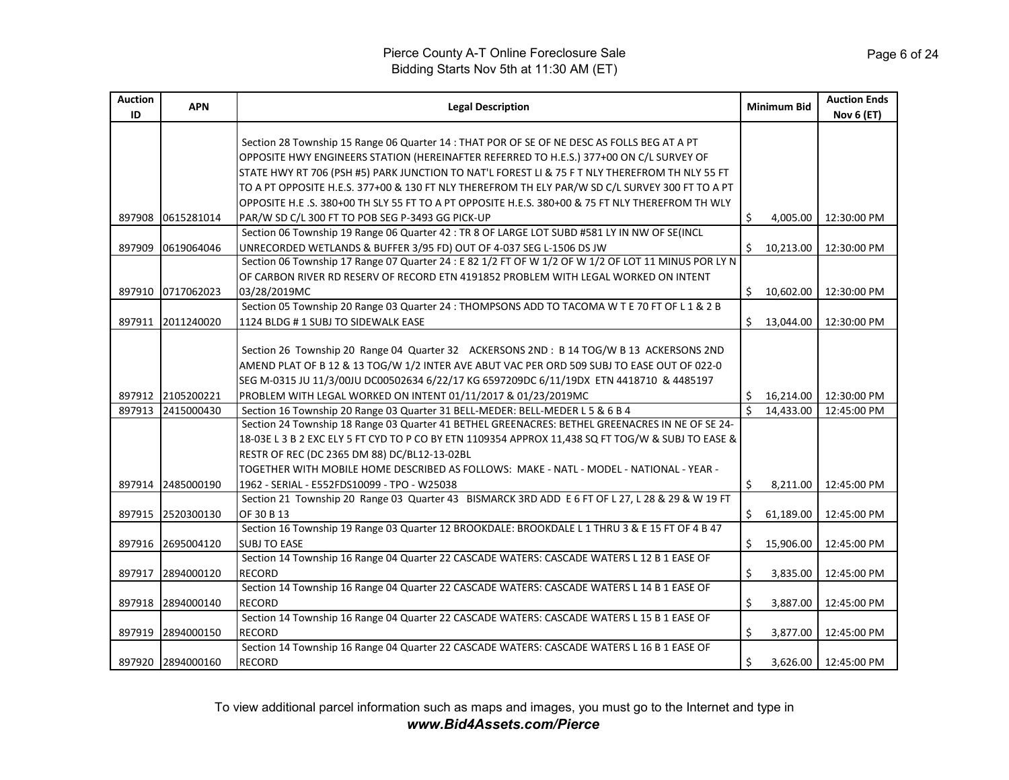| <b>Auction</b><br>ID | <b>APN</b>        | <b>Legal Description</b>                                                                                                            |              | <b>Minimum Bid</b> | <b>Auction Ends</b><br>Nov 6 (ET) |
|----------------------|-------------------|-------------------------------------------------------------------------------------------------------------------------------------|--------------|--------------------|-----------------------------------|
|                      |                   | Section 28 Township 15 Range 06 Quarter 14 : THAT POR OF SE OF NE DESC AS FOLLS BEG AT A PT                                         |              |                    |                                   |
|                      |                   | OPPOSITE HWY ENGINEERS STATION (HEREINAFTER REFERRED TO H.E.S.) 377+00 ON C/L SURVEY OF                                             |              |                    |                                   |
|                      |                   | STATE HWY RT 706 (PSH #5) PARK JUNCTION TO NAT'L FOREST LI & 75 F T NLY THEREFROM TH NLY 55 FT                                      |              |                    |                                   |
|                      |                   | TO A PT OPPOSITE H.E.S. 377+00 & 130 FT NLY THEREFROM TH ELY PAR/W SD C/L SURVEY 300 FT TO A PT                                     |              |                    |                                   |
|                      |                   | OPPOSITE H.E .S. 380+00 TH SLY 55 FT TO A PT OPPOSITE H.E.S. 380+00 & 75 FT NLY THEREFROM TH WLY                                    |              |                    |                                   |
|                      | 897908 0615281014 | PAR/W SD C/L 300 FT TO POB SEG P-3493 GG PICK-UP                                                                                    | Ŝ.           | 4,005.00           | 12:30:00 PM                       |
|                      |                   | Section 06 Township 19 Range 06 Quarter 42 : TR 8 OF LARGE LOT SUBD #581 LY IN NW OF SE(INCL                                        |              |                    |                                   |
| 897909               | 0619064046        | UNRECORDED WETLANDS & BUFFER 3/95 FD) OUT OF 4-037 SEG L-1506 DS JW                                                                 | Ś.           | 10,213.00          | 12:30:00 PM                       |
|                      |                   | Section 06 Township 17 Range 07 Quarter 24 : E 82 1/2 FT OF W 1/2 OF W 1/2 OF LOT 11 MINUS POR LY N                                 |              |                    |                                   |
|                      |                   | OF CARBON RIVER RD RESERV OF RECORD ETN 4191852 PROBLEM WITH LEGAL WORKED ON INTENT                                                 |              |                    |                                   |
|                      | 897910 0717062023 | 03/28/2019MC                                                                                                                        | Ś.           | 10,602.00          | 12:30:00 PM                       |
|                      |                   | Section 05 Township 20 Range 03 Quarter 24 : THOMPSONS ADD TO TACOMA W T E 70 FT OF L 1 & 2 B<br>1124 BLDG #1 SUBJ TO SIDEWALK EASE |              | \$13,044.00        |                                   |
|                      | 897911 2011240020 |                                                                                                                                     |              |                    | 12:30:00 PM                       |
|                      |                   | Section 26 Township 20 Range 04 Quarter 32 ACKERSONS 2ND: B 14 TOG/W B 13 ACKERSONS 2ND                                             |              |                    |                                   |
|                      |                   | AMEND PLAT OF B 12 & 13 TOG/W 1/2 INTER AVE ABUT VAC PER ORD 509 SUBJ TO EASE OUT OF 022-0                                          |              |                    |                                   |
|                      |                   | SEG M-0315 JU 11/3/00JU DC00502634 6/22/17 KG 6597209DC 6/11/19DX ETN 4418710 & 4485197                                             |              |                    |                                   |
|                      | 897912 2105200221 | PROBLEM WITH LEGAL WORKED ON INTENT 01/11/2017 & 01/23/2019MC                                                                       | Ŝ.           | 16,214.00          | 12:30:00 PM                       |
|                      | 897913 2415000430 | Section 16 Township 20 Range 03 Quarter 31 BELL-MEDER: BELL-MEDER L 5 & 6 B 4                                                       | $\mathsf{S}$ | 14,433.00          | 12:45:00 PM                       |
|                      |                   | Section 24 Township 18 Range 03 Quarter 41 BETHEL GREENACRES: BETHEL GREENACRES IN NE OF SE 24-                                     |              |                    |                                   |
|                      |                   | 18-03E L 3 B 2 EXC ELY 5 FT CYD TO P CO BY ETN 1109354 APPROX 11,438 SQ FT TOG/W & SUBJ TO EASE &                                   |              |                    |                                   |
|                      |                   | RESTR OF REC (DC 2365 DM 88) DC/BL12-13-02BL                                                                                        |              |                    |                                   |
|                      |                   | TOGETHER WITH MOBILE HOME DESCRIBED AS FOLLOWS: MAKE - NATL - MODEL - NATIONAL - YEAR -                                             |              |                    |                                   |
|                      | 897914 2485000190 | 1962 - SERIAL - E552FDS10099 - TPO - W25038                                                                                         | Ŝ.           | 8,211.00           | 12:45:00 PM                       |
|                      |                   | Section 21 Township 20 Range 03 Quarter 43 BISMARCK 3RD ADD E 6 FT OF L 27, L 28 & 29 & W 19 FT                                     |              |                    |                                   |
|                      | 897915 2520300130 | OF 30 B 13                                                                                                                          |              | \$61,189.00        | 12:45:00 PM                       |
|                      |                   | Section 16 Township 19 Range 03 Quarter 12 BROOKDALE: BROOKDALE L 1 THRU 3 & E 15 FT OF 4 B 47                                      |              |                    |                                   |
|                      | 897916 2695004120 | <b>SUBJ TO EASE</b>                                                                                                                 | Ś.           | 15,906.00          | 12:45:00 PM                       |
|                      |                   | Section 14 Township 16 Range 04 Quarter 22 CASCADE WATERS: CASCADE WATERS L 12 B 1 EASE OF                                          |              |                    |                                   |
|                      | 897917 2894000120 | <b>RECORD</b>                                                                                                                       | \$           | 3,835.00           | 12:45:00 PM                       |
|                      |                   | Section 14 Township 16 Range 04 Quarter 22 CASCADE WATERS: CASCADE WATERS L 14 B 1 EASE OF                                          |              |                    |                                   |
|                      | 897918 2894000140 | <b>RECORD</b>                                                                                                                       | \$           | 3,887.00           | 12:45:00 PM                       |
|                      |                   | Section 14 Township 16 Range 04 Quarter 22 CASCADE WATERS: CASCADE WATERS L 15 B 1 EASE OF                                          |              |                    |                                   |
|                      | 897919 2894000150 | <b>RECORD</b>                                                                                                                       | Ś.           | 3,877.00           | 12:45:00 PM                       |
|                      |                   | Section 14 Township 16 Range 04 Quarter 22 CASCADE WATERS: CASCADE WATERS L 16 B 1 EASE OF                                          |              |                    |                                   |
|                      | 897920 2894000160 | <b>RECORD</b>                                                                                                                       | Ś.           |                    | 3,626.00   12:45:00 PM            |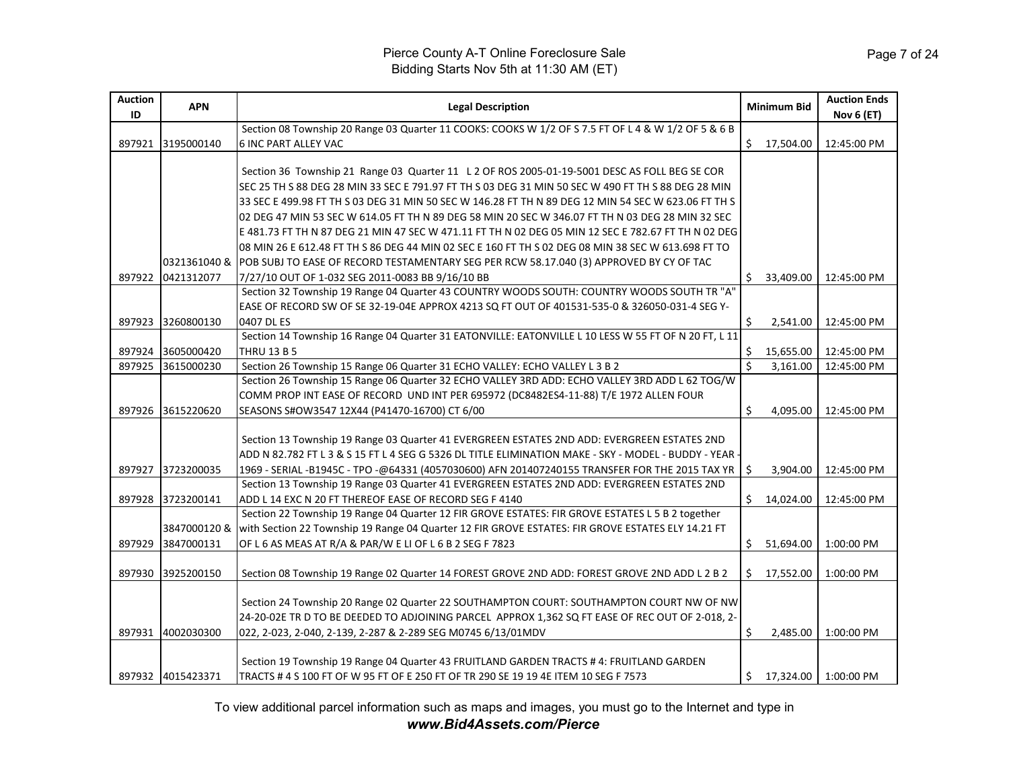| <b>Auction</b><br>ID | <b>APN</b>        | <b>Legal Description</b>                                                                              |                         | <b>Minimum Bid</b> | <b>Auction Ends</b><br>Nov 6 (ET) |
|----------------------|-------------------|-------------------------------------------------------------------------------------------------------|-------------------------|--------------------|-----------------------------------|
|                      |                   | Section 08 Township 20 Range 03 Quarter 11 COOKS: COOKS W 1/2 OF S 7.5 FT OF L 4 & W 1/2 OF 5 & 6 B   |                         |                    |                                   |
| 897921               | 3195000140        | <b>6 INC PART ALLEY VAC</b>                                                                           |                         | \$17,504.00        | 12:45:00 PM                       |
|                      |                   |                                                                                                       |                         |                    |                                   |
|                      |                   | Section 36 Township 21 Range 03 Quarter 11 L 2 OF ROS 2005-01-19-5001 DESC AS FOLL BEG SE COR         |                         |                    |                                   |
|                      |                   | SEC 25 TH S 88 DEG 28 MIN 33 SEC E 791.97 FT TH S 03 DEG 31 MIN 50 SEC W 490 FT TH S 88 DEG 28 MIN    |                         |                    |                                   |
|                      |                   | 33 SEC E 499.98 FT TH S 03 DEG 31 MIN 50 SEC W 146.28 FT TH N 89 DEG 12 MIN 54 SEC W 623.06 FT TH S   |                         |                    |                                   |
|                      |                   | l02 DEG 47 MIN 53 SEC W 614.05 FT TH N 89 DEG 58 MIN 20 SEC W 346.07 FT TH N 03 DEG 28 MIN 32 SEC     |                         |                    |                                   |
|                      |                   | E 481.73 FT TH N 87 DEG 21 MIN 47 SEC W 471.11 FT TH N 02 DEG 05 MIN 12 SEC E 782.67 FT TH N 02 DEG   |                         |                    |                                   |
|                      |                   | 08 MIN 26 E 612.48 FT TH S 86 DEG 44 MIN 02 SEC E 160 FT TH S 02 DEG 08 MIN 38 SEC W 613.698 FT TO    |                         |                    |                                   |
|                      |                   | 0321361040 & POB SUBJ TO EASE OF RECORD TESTAMENTARY SEG PER RCW 58.17.040 (3) APPROVED BY CY OF TAC  |                         |                    |                                   |
|                      | 897922 0421312077 | 7/27/10 OUT OF 1-032 SEG 2011-0083 BB 9/16/10 BB                                                      | Ś.                      | 33,409.00          | 12:45:00 PM                       |
|                      |                   | Section 32 Township 19 Range 04 Quarter 43 COUNTRY WOODS SOUTH: COUNTRY WOODS SOUTH TR "A"            |                         |                    |                                   |
|                      |                   | EASE OF RECORD SW OF SE 32-19-04E APPROX 4213 SQ FT OUT OF 401531-535-0 & 326050-031-4 SEG Y-         |                         |                    |                                   |
| 897923               | 3260800130        | 0407 DL ES                                                                                            | \$                      | 2,541.00           | 12:45:00 PM                       |
|                      |                   | Section 14 Township 16 Range 04 Quarter 31 EATONVILLE: EATONVILLE L 10 LESS W 55 FT OF N 20 FT, L 11  |                         |                    |                                   |
| 897924               | 3605000420        | <b>THRU 13 B 5</b>                                                                                    | \$                      | 15,655.00          | 12:45:00 PM                       |
| 897925               | 3615000230        | Section 26 Township 15 Range 06 Quarter 31 ECHO VALLEY: ECHO VALLEY L 3 B 2                           | $\overline{\mathsf{s}}$ | 3,161.00           | 12:45:00 PM                       |
|                      |                   | Section 26 Township 15 Range 06 Quarter 32 ECHO VALLEY 3RD ADD: ECHO VALLEY 3RD ADD L 62 TOG/W        |                         |                    |                                   |
|                      |                   | COMM PROP INT EASE OF RECORD UND INT PER 695972 (DC8482ES4-11-88) T/E 1972 ALLEN FOUR                 |                         |                    |                                   |
| 897926               | 3615220620        | SEASONS S#OW3547 12X44 (P41470-16700) CT 6/00                                                         | \$                      | 4,095.00           | 12:45:00 PM                       |
|                      |                   |                                                                                                       |                         |                    |                                   |
|                      |                   | Section 13 Township 19 Range 03 Quarter 41 EVERGREEN ESTATES 2ND ADD: EVERGREEN ESTATES 2ND           |                         |                    |                                   |
|                      |                   | ADD N 82.782 FT L 3 & S 15 FT L 4 SEG G 5326 DL TITLE ELIMINATION MAKE - SKY - MODEL - BUDDY - YEAR - |                         |                    |                                   |
|                      | 897927 3723200035 | 1969 - SERIAL -B1945C - TPO -@64331 (4057030600) AFN 201407240155 TRANSFER FOR THE 2015 TAX YR        | Ŝ.                      | 3,904.00           | 12:45:00 PM                       |
|                      |                   | Section 13 Township 19 Range 03 Quarter 41 EVERGREEN ESTATES 2ND ADD: EVERGREEN ESTATES 2ND           |                         |                    |                                   |
|                      | 897928 3723200141 | ADD L 14 EXC N 20 FT THEREOF EASE OF RECORD SEG F 4140                                                | Ś.                      | 14,024.00          | 12:45:00 PM                       |
|                      |                   | Section 22 Township 19 Range 04 Quarter 12 FIR GROVE ESTATES: FIR GROVE ESTATES L 5 B 2 together      |                         |                    |                                   |
|                      | 3847000120 &      | with Section 22 Township 19 Range 04 Quarter 12 FIR GROVE ESTATES: FIR GROVE ESTATES ELY 14.21 FT     |                         |                    |                                   |
| 897929               | 3847000131        | OF L 6 AS MEAS AT R/A & PAR/W E LI OF L 6 B 2 SEG F 7823                                              | Ś.                      | 51,694.00          | 1:00:00 PM                        |
| 897930               | 3925200150        | Section 08 Township 19 Range 02 Quarter 14 FOREST GROVE 2ND ADD: FOREST GROVE 2ND ADD L 2 B 2         | Ś.                      | 17,552.00          | 1:00:00 PM                        |
|                      |                   |                                                                                                       |                         |                    |                                   |
|                      |                   | Section 24 Township 20 Range 02 Quarter 22 SOUTHAMPTON COURT: SOUTHAMPTON COURT NW OF NW              |                         |                    |                                   |
|                      |                   | 24-20-02E TR D TO BE DEEDED TO ADJOINING PARCEL APPROX 1,362 SQ FT EASE OF REC OUT OF 2-018, 2-       |                         |                    |                                   |
| 897931               | 4002030300        | 022, 2-023, 2-040, 2-139, 2-287 & 2-289 SEG M0745 6/13/01MDV                                          | \$                      | 2,485.00           | 1:00:00 PM                        |
|                      |                   |                                                                                                       |                         |                    |                                   |
|                      |                   | Section 19 Township 19 Range 04 Quarter 43 FRUITLAND GARDEN TRACTS # 4: FRUITLAND GARDEN              |                         |                    |                                   |
|                      | 897932 4015423371 | TRACTS # 4 S 100 FT OF W 95 FT OF E 250 FT OF TR 290 SE 19 19 4E ITEM 10 SEG F 7573                   | Ś.                      | 17,324.00          | 1:00:00 PM                        |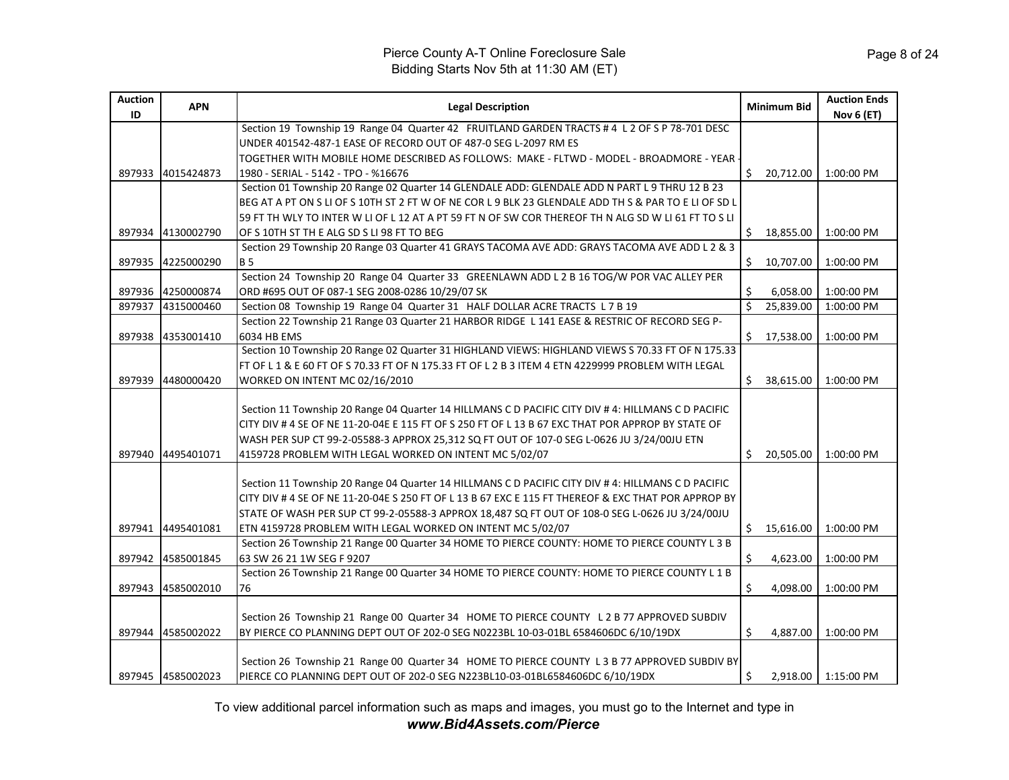| <b>Auction</b><br>ID | <b>APN</b>        | <b>Legal Description</b>                                                                                                                                                                                                                                                                                                                                                  |                         | <b>Minimum Bid</b> | <b>Auction Ends</b><br><b>Nov 6 (ET)</b> |
|----------------------|-------------------|---------------------------------------------------------------------------------------------------------------------------------------------------------------------------------------------------------------------------------------------------------------------------------------------------------------------------------------------------------------------------|-------------------------|--------------------|------------------------------------------|
|                      |                   | Section 19 Township 19 Range 04 Quarter 42 FRUITLAND GARDEN TRACTS # 4 L 2 OF S P 78-701 DESC                                                                                                                                                                                                                                                                             |                         |                    |                                          |
|                      |                   | UNDER 401542-487-1 EASE OF RECORD OUT OF 487-0 SEG L-2097 RM ES                                                                                                                                                                                                                                                                                                           |                         |                    |                                          |
|                      |                   | TOGETHER WITH MOBILE HOME DESCRIBED AS FOLLOWS: MAKE - FLTWD - MODEL - BROADMORE - YEAR -                                                                                                                                                                                                                                                                                 |                         |                    |                                          |
| 897933               | 4015424873        | 1980 - SERIAL - 5142 - TPO - %16676                                                                                                                                                                                                                                                                                                                                       | Ś.                      | 20,712.00          | 1:00:00 PM                               |
|                      |                   | Section 01 Township 20 Range 02 Quarter 14 GLENDALE ADD: GLENDALE ADD N PART L 9 THRU 12 B 23                                                                                                                                                                                                                                                                             |                         |                    |                                          |
|                      |                   | BEG AT A PT ON S LI OF S 10TH ST 2 FT W OF NE COR L 9 BLK 23 GLENDALE ADD TH S & PAR TO E LI OF SD L                                                                                                                                                                                                                                                                      |                         |                    |                                          |
|                      |                   | 59 FT TH WLY TO INTER W LI OF L 12 AT A PT 59 FT N OF SW COR THEREOF TH N ALG SD W LI 61 FT TO S LI                                                                                                                                                                                                                                                                       |                         |                    |                                          |
|                      | 897934 4130002790 | OF S 10TH ST TH E ALG SD S LI 98 FT TO BEG                                                                                                                                                                                                                                                                                                                                | Ŝ.                      | 18,855.00          | 1:00:00 PM                               |
|                      |                   | Section 29 Township 20 Range 03 Quarter 41 GRAYS TACOMA AVE ADD: GRAYS TACOMA AVE ADD L 2 & 3                                                                                                                                                                                                                                                                             |                         |                    |                                          |
| 897935               | 4225000290        | <b>B</b> 5                                                                                                                                                                                                                                                                                                                                                                | \$                      | 10,707.00          | 1:00:00 PM                               |
|                      |                   | Section 24 Township 20 Range 04 Quarter 33 GREENLAWN ADD L 2 B 16 TOG/W POR VAC ALLEY PER                                                                                                                                                                                                                                                                                 |                         |                    |                                          |
|                      | 897936 4250000874 | ORD #695 OUT OF 087-1 SEG 2008-0286 10/29/07 SK                                                                                                                                                                                                                                                                                                                           | Ŝ.                      | 6,058.00           | 1:00:00 PM                               |
| 897937               | 4315000460        | Section 08 Township 19 Range 04 Quarter 31 HALF DOLLAR ACRE TRACTS L 7 B 19                                                                                                                                                                                                                                                                                               | $\overline{\mathsf{S}}$ | 25,839.00          | 1:00:00 PM                               |
|                      |                   | Section 22 Township 21 Range 03 Quarter 21 HARBOR RIDGE L 141 EASE & RESTRIC OF RECORD SEG P-                                                                                                                                                                                                                                                                             |                         |                    |                                          |
| 897938               | 4353001410        | 6034 HB EMS                                                                                                                                                                                                                                                                                                                                                               | Ŝ.                      | 17,538.00          | 1:00:00 PM                               |
|                      |                   | Section 10 Township 20 Range 02 Quarter 31 HIGHLAND VIEWS: HIGHLAND VIEWS S 70.33 FT OF N 175.33                                                                                                                                                                                                                                                                          |                         |                    |                                          |
|                      |                   | FT OF L 1 & E 60 FT OF S 70.33 FT OF N 175.33 FT OF L 2 B 3 ITEM 4 ETN 4229999 PROBLEM WITH LEGAL                                                                                                                                                                                                                                                                         |                         |                    |                                          |
| 897939               | 4480000420        | WORKED ON INTENT MC 02/16/2010                                                                                                                                                                                                                                                                                                                                            | Ś.                      | 38,615.00          | 1:00:00 PM                               |
|                      |                   | Section 11 Township 20 Range 04 Quarter 14 HILLMANS C D PACIFIC CITY DIV # 4: HILLMANS C D PACIFIC<br>CITY DIV # 4 SE OF NE 11-20-04E E 115 FT OF S 250 FT OF L 13 B 67 EXC THAT POR APPROP BY STATE OF<br>WASH PER SUP CT 99-2-05588-3 APPROX 25,312 SQ FT OUT OF 107-0 SEG L-0626 JU 3/24/00JU ETN                                                                      |                         |                    |                                          |
|                      | 897940 4495401071 | 4159728 PROBLEM WITH LEGAL WORKED ON INTENT MC 5/02/07                                                                                                                                                                                                                                                                                                                    | Ś.                      | 20,505.00          | 1:00:00 PM                               |
|                      | 897941 4495401081 | Section 11 Township 20 Range 04 Quarter 14 HILLMANS C D PACIFIC CITY DIV # 4: HILLMANS C D PACIFIC<br>CITY DIV # 4 SE OF NE 11-20-04E S 250 FT OF L 13 B 67 EXC E 115 FT THEREOF & EXC THAT POR APPROP BY<br>STATE OF WASH PER SUP CT 99-2-05588-3 APPROX 18,487 SQ FT OUT OF 108-0 SEG L-0626 JU 3/24/00JU<br>ETN 4159728 PROBLEM WITH LEGAL WORKED ON INTENT MC 5/02/07 |                         | \$15,616.00        | 1:00:00 PM                               |
|                      |                   | Section 26 Township 21 Range 00 Quarter 34 HOME TO PIERCE COUNTY: HOME TO PIERCE COUNTY L 3 B                                                                                                                                                                                                                                                                             |                         |                    |                                          |
|                      | 897942 4585001845 | 63 SW 26 21 1W SEG F 9207                                                                                                                                                                                                                                                                                                                                                 | \$                      | 4,623.00           | 1:00:00 PM                               |
|                      |                   | Section 26 Township 21 Range 00 Quarter 34 HOME TO PIERCE COUNTY: HOME TO PIERCE COUNTY L 1 B                                                                                                                                                                                                                                                                             |                         |                    |                                          |
| 897943               | 4585002010        | 76                                                                                                                                                                                                                                                                                                                                                                        | Ŝ.                      | 4,098.00           | 1:00:00 PM                               |
|                      |                   |                                                                                                                                                                                                                                                                                                                                                                           |                         |                    |                                          |
|                      | 897944 4585002022 | Section 26 Township 21 Range 00 Quarter 34 HOME TO PIERCE COUNTY L 2 B 77 APPROVED SUBDIV<br>BY PIERCE CO PLANNING DEPT OUT OF 202-0 SEG N0223BL 10-03-01BL 6584606DC 6/10/19DX                                                                                                                                                                                           | Ŝ.                      | 4.887.00           | 1:00:00 PM                               |
|                      | 897945 4585002023 | Section 26 Township 21 Range 00 Quarter 34 HOME TO PIERCE COUNTY L 3 B 77 APPROVED SUBDIV BY<br>PIERCE CO PLANNING DEPT OUT OF 202-0 SEG N223BL10-03-01BL6584606DC 6/10/19DX                                                                                                                                                                                              | Ŝ.                      |                    | 2.918.00   1:15:00 PM                    |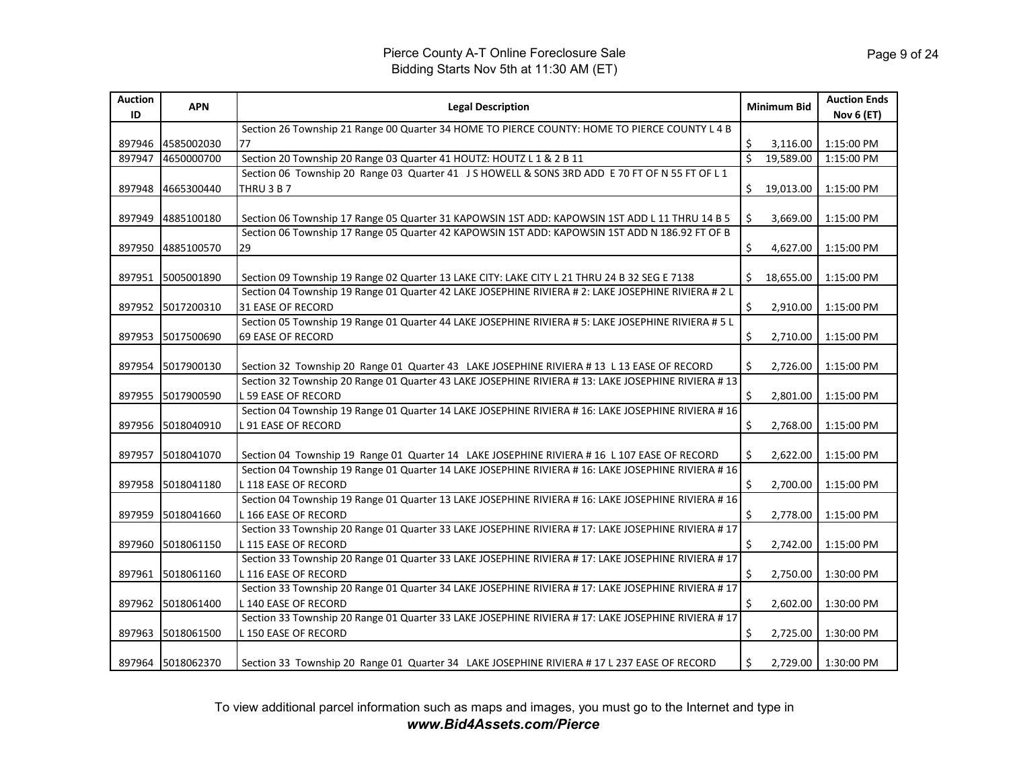| <b>Auction</b><br>ID | <b>APN</b>        | <b>Legal Description</b>                                                                                                                                                                         |                         | <b>Minimum Bid</b> | <b>Auction Ends</b><br>Nov 6 (ET) |
|----------------------|-------------------|--------------------------------------------------------------------------------------------------------------------------------------------------------------------------------------------------|-------------------------|--------------------|-----------------------------------|
|                      |                   | Section 26 Township 21 Range 00 Quarter 34 HOME TO PIERCE COUNTY: HOME TO PIERCE COUNTY L 4 B                                                                                                    |                         |                    |                                   |
| 897946               | 4585002030        | 77                                                                                                                                                                                               | Ŝ.                      | 3,116.00           | 1:15:00 PM                        |
| 897947               | 4650000700        | Section 20 Township 20 Range 03 Quarter 41 HOUTZ: HOUTZ L 1 & 2 B 11                                                                                                                             | $\overline{\mathsf{S}}$ | 19,589.00          | 1:15:00 PM                        |
|                      |                   | Section 06 Township 20 Range 03 Quarter 41 J S HOWELL & SONS 3RD ADD E 70 FT OF N 55 FT OF L 1                                                                                                   |                         |                    |                                   |
| 897948               | 4665300440        | THRU 3 B 7                                                                                                                                                                                       | \$                      | 19,013.00          | 1:15:00 PM                        |
| 897949               | 4885100180        |                                                                                                                                                                                                  | Ŝ.                      | 3,669.00           | 1:15:00 PM                        |
|                      |                   | Section 06 Township 17 Range 05 Quarter 31 KAPOWSIN 1ST ADD: KAPOWSIN 1ST ADD L 11 THRU 14 B 5<br>Section 06 Township 17 Range 05 Quarter 42 KAPOWSIN 1ST ADD: KAPOWSIN 1ST ADD N 186.92 FT OF B |                         |                    |                                   |
| 897950               | 4885100570        | 29                                                                                                                                                                                               | \$                      | 4,627.00           | 1:15:00 PM                        |
|                      |                   |                                                                                                                                                                                                  |                         |                    |                                   |
| 897951               | 5005001890        | Section 09 Township 19 Range 02 Quarter 13 LAKE CITY: LAKE CITY L 21 THRU 24 B 32 SEG E 7138                                                                                                     | Ś.                      | 18,655.00          | 1:15:00 PM                        |
|                      |                   | Section 04 Township 19 Range 01 Quarter 42 LAKE JOSEPHINE RIVIERA # 2: LAKE JOSEPHINE RIVIERA # 2 L                                                                                              |                         |                    |                                   |
| 897952               | 5017200310        | 31 EASE OF RECORD                                                                                                                                                                                | \$                      | 2,910.00           | 1:15:00 PM                        |
|                      |                   | Section 05 Township 19 Range 01 Quarter 44 LAKE JOSEPHINE RIVIERA # 5: LAKE JOSEPHINE RIVIERA # 5 L                                                                                              |                         |                    |                                   |
| 897953               | 5017500690        | <b>69 EASE OF RECORD</b>                                                                                                                                                                         | \$                      | 2,710.00           | 1:15:00 PM                        |
|                      |                   |                                                                                                                                                                                                  |                         |                    |                                   |
| 897954               | 5017900130        | Section 32 Township 20 Range 01 Quarter 43 LAKE JOSEPHINE RIVIERA # 13 L 13 EASE OF RECORD                                                                                                       | \$                      | 2,726.00           | 1:15:00 PM                        |
|                      |                   | Section 32 Township 20 Range 01 Quarter 43 LAKE JOSEPHINE RIVIERA #13: LAKE JOSEPHINE RIVIERA #13                                                                                                |                         |                    |                                   |
|                      | 897955 5017900590 | <b>L59 EASE OF RECORD</b>                                                                                                                                                                        | Ś.                      | 2,801.00           | 1:15:00 PM                        |
|                      |                   | Section 04 Township 19 Range 01 Quarter 14 LAKE JOSEPHINE RIVIERA # 16: LAKE JOSEPHINE RIVIERA # 16                                                                                              |                         |                    |                                   |
| 897956               | 5018040910        | <b>L 91 EASE OF RECORD</b>                                                                                                                                                                       | Ŝ.                      | 2,768.00           | 1:15:00 PM                        |
|                      |                   |                                                                                                                                                                                                  |                         |                    |                                   |
| 897957               | 5018041070        | Section 04 Township 19 Range 01 Quarter 14 LAKE JOSEPHINE RIVIERA #16 L 107 EASE OF RECORD                                                                                                       | \$                      | 2,622.00           | 1:15:00 PM                        |
|                      |                   | Section 04 Township 19 Range 01 Quarter 14 LAKE JOSEPHINE RIVIERA #16: LAKE JOSEPHINE RIVIERA #16                                                                                                |                         |                    |                                   |
| 897958               | 5018041180        | L 118 EASE OF RECORD                                                                                                                                                                             | \$                      | 2,700.00           | 1:15:00 PM                        |
|                      |                   | Section 04 Township 19 Range 01 Quarter 13 LAKE JOSEPHINE RIVIERA #16: LAKE JOSEPHINE RIVIERA #16                                                                                                |                         |                    |                                   |
| 897959               | 5018041660        | L 166 EASE OF RECORD                                                                                                                                                                             | \$                      | 2,778.00           | 1:15:00 PM                        |
|                      |                   | Section 33 Township 20 Range 01 Quarter 33 LAKE JOSEPHINE RIVIERA # 17: LAKE JOSEPHINE RIVIERA # 17                                                                                              |                         |                    |                                   |
| 897960               | 5018061150        | L 115 EASE OF RECORD                                                                                                                                                                             | Ś.                      | 2,742.00           | 1:15:00 PM                        |
|                      |                   | Section 33 Township 20 Range 01 Quarter 33 LAKE JOSEPHINE RIVIERA # 17: LAKE JOSEPHINE RIVIERA # 17                                                                                              |                         |                    |                                   |
| 897961               | 5018061160        | <b>L116 EASE OF RECORD</b>                                                                                                                                                                       | \$                      | 2,750.00           | 1:30:00 PM                        |
|                      |                   | Section 33 Township 20 Range 01 Quarter 34 LAKE JOSEPHINE RIVIERA # 17: LAKE JOSEPHINE RIVIERA # 17                                                                                              |                         |                    |                                   |
| 897962               | 5018061400        | L 140 EASE OF RECORD                                                                                                                                                                             | \$                      | 2,602.00           | 1:30:00 PM                        |
|                      |                   | Section 33 Township 20 Range 01 Quarter 33 LAKE JOSEPHINE RIVIERA # 17: LAKE JOSEPHINE RIVIERA # 17                                                                                              |                         |                    |                                   |
| 897963               | 5018061500        | L 150 EASE OF RECORD                                                                                                                                                                             | \$                      | 2,725.00           | 1:30:00 PM                        |
|                      |                   |                                                                                                                                                                                                  |                         |                    |                                   |
|                      | 897964 5018062370 | Section 33 Township 20 Range 01 Quarter 34 LAKE JOSEPHINE RIVIERA #17 L 237 EASE OF RECORD                                                                                                       | \$                      | 2,729.00           | 1:30:00 PM                        |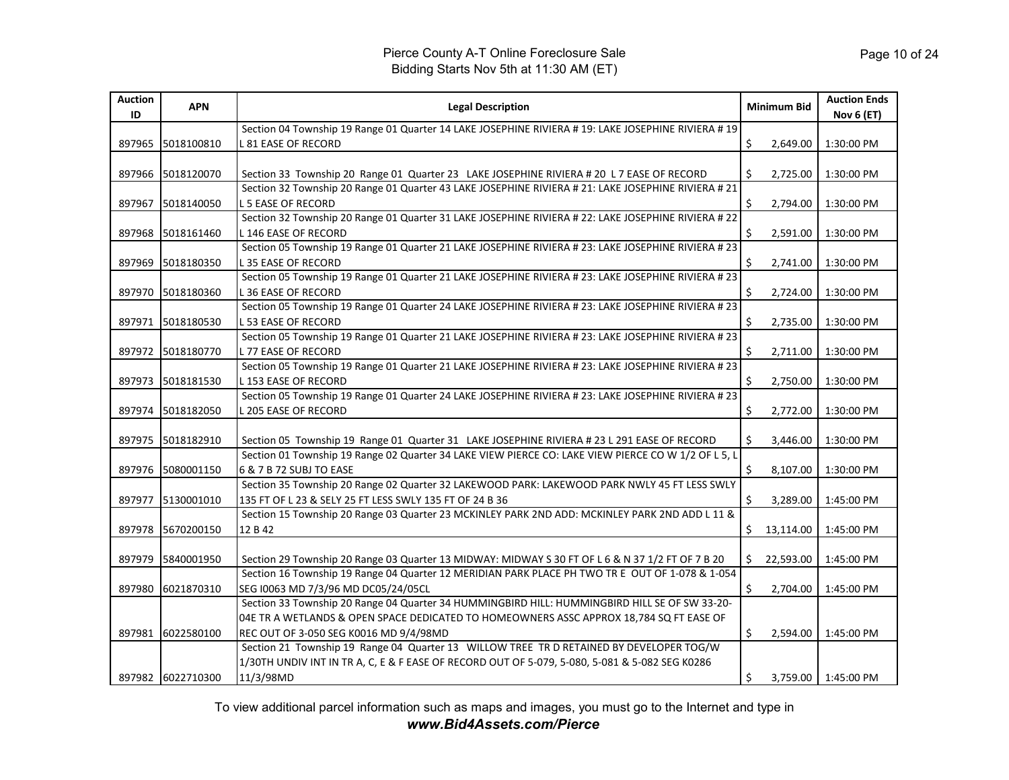| <b>Auction</b><br>ID | <b>APN</b>        | <b>Legal Description</b>                                                                            |    | <b>Minimum Bid</b> | <b>Auction Ends</b><br><b>Nov 6 (ET)</b> |
|----------------------|-------------------|-----------------------------------------------------------------------------------------------------|----|--------------------|------------------------------------------|
|                      |                   | Section 04 Township 19 Range 01 Quarter 14 LAKE JOSEPHINE RIVIERA # 19: LAKE JOSEPHINE RIVIERA # 19 |    |                    |                                          |
| 897965               | 5018100810        | L 81 EASE OF RECORD                                                                                 | \$ | 2,649.00           | 1:30:00 PM                               |
|                      |                   |                                                                                                     |    |                    |                                          |
| 897966               | 5018120070        | Section 33 Township 20 Range 01 Quarter 23 LAKE JOSEPHINE RIVIERA # 20 L 7 EASE OF RECORD           | Ś  | 2,725.00           | 1:30:00 PM                               |
|                      |                   | Section 32 Township 20 Range 01 Quarter 43 LAKE JOSEPHINE RIVIERA # 21: LAKE JOSEPHINE RIVIERA # 21 |    |                    |                                          |
| 897967               | 5018140050        | <b>L5 EASE OF RECORD</b>                                                                            | \$ | 2,794.00           | 1:30:00 PM                               |
|                      |                   | Section 32 Township 20 Range 01 Quarter 31 LAKE JOSEPHINE RIVIERA # 22: LAKE JOSEPHINE RIVIERA # 22 |    |                    |                                          |
| 897968               | 5018161460        | L 146 EASE OF RECORD                                                                                | \$ | 2,591.00           | 1:30:00 PM                               |
|                      |                   | Section 05 Township 19 Range 01 Quarter 21 LAKE JOSEPHINE RIVIERA # 23: LAKE JOSEPHINE RIVIERA # 23 |    |                    |                                          |
| 897969               | 5018180350        | <b>L35 EASE OF RECORD</b>                                                                           | Ś. | 2,741.00           | 1:30:00 PM                               |
|                      |                   | Section 05 Township 19 Range 01 Quarter 21 LAKE JOSEPHINE RIVIERA # 23: LAKE JOSEPHINE RIVIERA # 23 |    |                    |                                          |
| 897970               | 5018180360        | L 36 EASE OF RECORD                                                                                 | \$ | 2,724.00           | 1:30:00 PM                               |
|                      |                   | Section 05 Township 19 Range 01 Quarter 24 LAKE JOSEPHINE RIVIERA # 23: LAKE JOSEPHINE RIVIERA # 23 |    |                    |                                          |
| 897971               | 5018180530        | <b>L53 EASE OF RECORD</b>                                                                           | \$ | 2,735.00           | 1:30:00 PM                               |
|                      |                   | Section 05 Township 19 Range 01 Quarter 21 LAKE JOSEPHINE RIVIERA # 23: LAKE JOSEPHINE RIVIERA # 23 |    |                    |                                          |
| 897972               | 5018180770        | <b>L77 EASE OF RECORD</b>                                                                           | \$ | 2,711.00           | 1:30:00 PM                               |
|                      |                   | Section 05 Township 19 Range 01 Quarter 21 LAKE JOSEPHINE RIVIERA # 23: LAKE JOSEPHINE RIVIERA # 23 |    |                    |                                          |
| 897973               | 5018181530        | L 153 EASE OF RECORD                                                                                | Ś. | 2,750.00           | 1:30:00 PM                               |
|                      |                   | Section 05 Township 19 Range 01 Quarter 24 LAKE JOSEPHINE RIVIERA # 23: LAKE JOSEPHINE RIVIERA # 23 |    |                    |                                          |
| 897974               | 5018182050        | L 205 EASE OF RECORD                                                                                | \$ | 2,772.00           | 1:30:00 PM                               |
|                      |                   |                                                                                                     |    |                    |                                          |
| 897975               | 5018182910        | Section 05 Township 19 Range 01 Quarter 31 LAKE JOSEPHINE RIVIERA # 23 L 291 EASE OF RECORD         | Ś. | 3,446.00           | 1:30:00 PM                               |
|                      |                   | Section 01 Township 19 Range 02 Quarter 34 LAKE VIEW PIERCE CO: LAKE VIEW PIERCE CO W 1/2 OF L 5, L |    |                    |                                          |
| 897976               | 5080001150        | 6 & 7 B 72 SUBJ TO EASE                                                                             | \$ | 8,107.00           | 1:30:00 PM                               |
|                      |                   | Section 35 Township 20 Range 02 Quarter 32 LAKEWOOD PARK: LAKEWOOD PARK NWLY 45 FT LESS SWLY        |    |                    |                                          |
| 897977               | 5130001010        | 135 FT OF L 23 & SELY 25 FT LESS SWLY 135 FT OF 24 B 36                                             | Ś  | 3,289.00           | 1:45:00 PM                               |
|                      |                   | Section 15 Township 20 Range 03 Quarter 23 MCKINLEY PARK 2ND ADD: MCKINLEY PARK 2ND ADD L 11 &      |    |                    |                                          |
| 897978               | 5670200150        | 12 B 42                                                                                             | Ś. | 13,114.00          | 1:45:00 PM                               |
|                      |                   |                                                                                                     |    |                    |                                          |
| 897979               | 5840001950        | Section 29 Township 20 Range 03 Quarter 13 MIDWAY: MIDWAY S 30 FT OF L 6 & N 37 1/2 FT OF 7 B 20    | Ś. | 22,593.00          | 1:45:00 PM                               |
|                      |                   | Section 16 Township 19 Range 04 Quarter 12 MERIDIAN PARK PLACE PH TWO TR E OUT OF 1-078 & 1-054     |    |                    |                                          |
| 897980               | 6021870310        | SEG 10063 MD 7/3/96 MD DC05/24/05CL                                                                 | \$ | 2,704.00           | 1:45:00 PM                               |
|                      |                   | Section 33 Township 20 Range 04 Quarter 34 HUMMINGBIRD HILL: HUMMINGBIRD HILL SE OF SW 33-20-       |    |                    |                                          |
|                      |                   | 04E TR A WETLANDS & OPEN SPACE DEDICATED TO HOMEOWNERS ASSC APPROX 18,784 SQ FT EASE OF             |    |                    |                                          |
| 897981               | 6022580100        | REC OUT OF 3-050 SEG K0016 MD 9/4/98MD                                                              | \$ | 2,594.00           | 1:45:00 PM                               |
|                      |                   | Section 21 Township 19 Range 04 Quarter 13 WILLOW TREE TR D RETAINED BY DEVELOPER TOG/W             |    |                    |                                          |
|                      |                   | 1/30TH UNDIV INT IN TR A, C, E & F EASE OF RECORD OUT OF 5-079, 5-080, 5-081 & 5-082 SEG K0286      |    |                    |                                          |
|                      | 897982 6022710300 | 11/3/98MD                                                                                           | \$ |                    | 3,759.00 1:45:00 PM                      |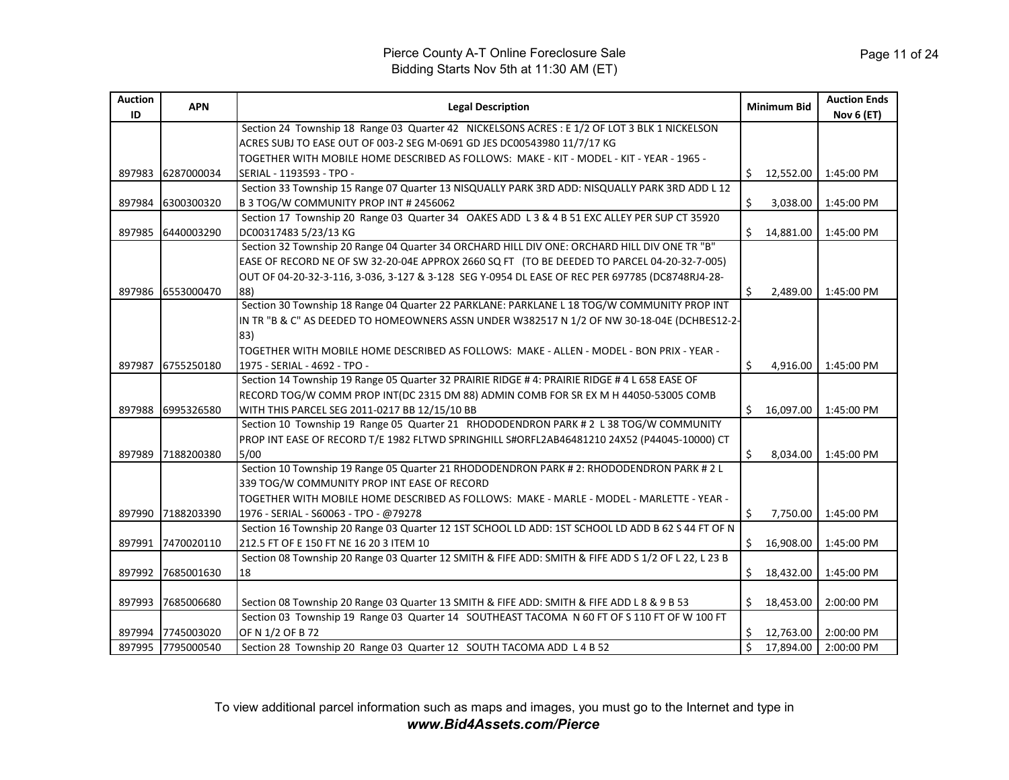| <b>Auction</b><br>ID | <b>APN</b>        | <b>Legal Description</b>                                                                            |    | <b>Minimum Bid</b> | <b>Auction Ends</b><br><b>Nov 6 (ET)</b> |
|----------------------|-------------------|-----------------------------------------------------------------------------------------------------|----|--------------------|------------------------------------------|
|                      |                   | Section 24 Township 18 Range 03 Quarter 42 NICKELSONS ACRES : E 1/2 OF LOT 3 BLK 1 NICKELSON        |    |                    |                                          |
|                      |                   | ACRES SUBJ TO EASE OUT OF 003-2 SEG M-0691 GD JES DC00543980 11/7/17 KG                             |    |                    |                                          |
|                      |                   | TOGETHER WITH MOBILE HOME DESCRIBED AS FOLLOWS: MAKE - KIT - MODEL - KIT - YEAR - 1965 -            |    |                    |                                          |
| 897983               | 6287000034        | SERIAL - 1193593 - TPO -                                                                            | Ŝ. | 12,552.00          | 1:45:00 PM                               |
|                      |                   | Section 33 Township 15 Range 07 Quarter 13 NISQUALLY PARK 3RD ADD: NISQUALLY PARK 3RD ADD L 12      |    |                    |                                          |
| 897984               | 6300300320        | B 3 TOG/W COMMUNITY PROP INT # 2456062                                                              | \$ | 3,038.00           | 1:45:00 PM                               |
|                      |                   | Section 17 Township 20 Range 03 Quarter 34 OAKES ADD L 3 & 4 B 51 EXC ALLEY PER SUP CT 35920        |    |                    |                                          |
| 897985               | 6440003290        | DC00317483 5/23/13 KG                                                                               | Ś. | 14,881.00          | 1:45:00 PM                               |
|                      |                   | Section 32 Township 20 Range 04 Quarter 34 ORCHARD HILL DIV ONE: ORCHARD HILL DIV ONE TR "B"        |    |                    |                                          |
|                      |                   | EASE OF RECORD NE OF SW 32-20-04E APPROX 2660 SQ FT (TO BE DEEDED TO PARCEL 04-20-32-7-005)         |    |                    |                                          |
|                      |                   | OUT OF 04-20-32-3-116, 3-036, 3-127 & 3-128 SEG Y-0954 DL EASE OF REC PER 697785 (DC8748RJ4-28-     |    |                    |                                          |
| 897986               | 6553000470        | 88)                                                                                                 | Ŝ. | 2,489.00           | 1:45:00 PM                               |
|                      |                   | Section 30 Township 18 Range 04 Quarter 22 PARKLANE: PARKLANE L 18 TOG/W COMMUNITY PROP INT         |    |                    |                                          |
|                      |                   | IN TR "B & C" AS DEEDED TO HOMEOWNERS ASSN UNDER W382517 N 1/2 OF NW 30-18-04E (DCHBES12-2-         |    |                    |                                          |
|                      |                   | 83)                                                                                                 |    |                    |                                          |
|                      |                   | TOGETHER WITH MOBILE HOME DESCRIBED AS FOLLOWS: MAKE - ALLEN - MODEL - BON PRIX - YEAR -            |    |                    |                                          |
| 897987               | 6755250180        | 1975 - SERIAL - 4692 - TPO -                                                                        | Ŝ. | 4,916.00           | 1:45:00 PM                               |
|                      |                   | Section 14 Township 19 Range 05 Quarter 32 PRAIRIE RIDGE #4: PRAIRIE RIDGE #4 L 658 EASE OF         |    |                    |                                          |
|                      |                   | RECORD TOG/W COMM PROP INT(DC 2315 DM 88) ADMIN COMB FOR SR EX M H 44050-53005 COMB                 |    |                    |                                          |
| 897988               | 6995326580        | WITH THIS PARCEL SEG 2011-0217 BB 12/15/10 BB                                                       | Ś. | 16.097.00          | 1:45:00 PM                               |
|                      |                   | Section 10 Township 19 Range 05 Quarter 21 RHODODENDRON PARK # 2 L 38 TOG/W COMMUNITY               |    |                    |                                          |
|                      |                   | PROP INT EASE OF RECORD T/E 1982 FLTWD SPRINGHILL S#ORFL2AB46481210 24X52 (P44045-10000) CT         |    |                    |                                          |
| 897989               | 7188200380        | 5/00                                                                                                | Ś. | 8,034.00           | 1:45:00 PM                               |
|                      |                   | Section 10 Township 19 Range 05 Quarter 21 RHODODENDRON PARK # 2: RHODODENDRON PARK # 2 L           |    |                    |                                          |
|                      |                   | 339 TOG/W COMMUNITY PROP INT EASE OF RECORD                                                         |    |                    |                                          |
|                      |                   | TOGETHER WITH MOBILE HOME DESCRIBED AS FOLLOWS: MAKE - MARLE - MODEL - MARLETTE - YEAR -            |    |                    |                                          |
| 897990               | 7188203390        | 1976 - SERIAL - S60063 - TPO - @79278                                                               | Ŝ. | 7,750.00           | 1:45:00 PM                               |
|                      |                   | Section 16 Township 20 Range 03 Quarter 12 1ST SCHOOL LD ADD: 1ST SCHOOL LD ADD B 62 S 44 FT OF N   |    |                    |                                          |
| 897991               | 7470020110        | 212.5 FT OF E 150 FT NE 16 20 3 ITEM 10                                                             | Ŝ. | 16,908.00          | 1:45:00 PM                               |
|                      |                   | Section 08 Township 20 Range 03 Quarter 12 SMITH & FIFE ADD: SMITH & FIFE ADD S 1/2 OF L 22, L 23 B |    |                    |                                          |
| 897992               | 7685001630        | 18                                                                                                  |    | \$18,432.00        | 1:45:00 PM                               |
|                      |                   |                                                                                                     |    |                    |                                          |
| 897993               | 7685006680        | Section 08 Township 20 Range 03 Quarter 13 SMITH & FIFE ADD: SMITH & FIFE ADD L 8 & 9 B 53          | Ŝ. | 18,453.00          | 2:00:00 PM                               |
|                      |                   | Section 03 Township 19 Range 03 Quarter 14 SOUTHEAST TACOMA N 60 FT OF S 110 FT OF W 100 FT         |    |                    |                                          |
|                      | 897994 7745003020 | OF N 1/2 OF B 72                                                                                    |    | 12,763.00          | 2:00:00 PM                               |
|                      | 897995 7795000540 | Section 28 Township 20 Range 03 Quarter 12 SOUTH TACOMA ADD L 4 B 52                                | \$ | 17,894.00          | 2:00:00 PM                               |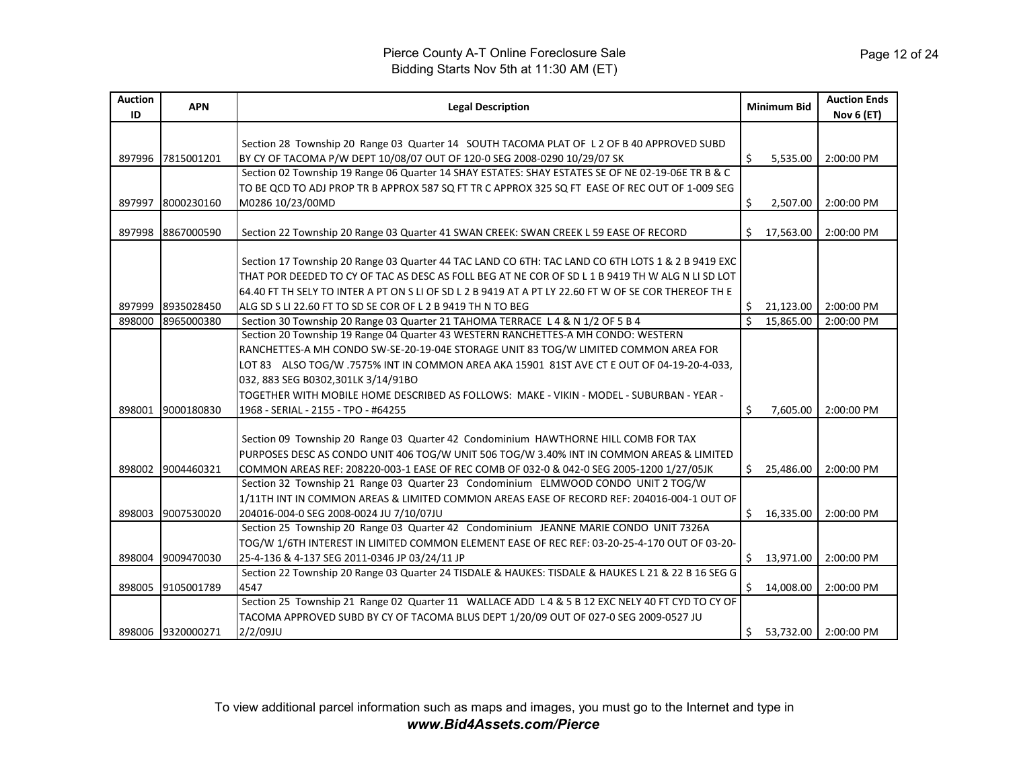| <b>Auction</b><br>ID       | <b>APN</b>                                                  | <b>Legal Description</b>                                                                                                                                                                                                                                                                                                                                                                                                                                                                                                                                                                                                                                                                                                                                                                   |               | <b>Minimum Bid</b>                                     | <b>Auction Ends</b><br><b>Nov 6 (ET)</b>             |
|----------------------------|-------------------------------------------------------------|--------------------------------------------------------------------------------------------------------------------------------------------------------------------------------------------------------------------------------------------------------------------------------------------------------------------------------------------------------------------------------------------------------------------------------------------------------------------------------------------------------------------------------------------------------------------------------------------------------------------------------------------------------------------------------------------------------------------------------------------------------------------------------------------|---------------|--------------------------------------------------------|------------------------------------------------------|
|                            |                                                             | Section 28 Township 20 Range 03 Quarter 14 SOUTH TACOMA PLAT OF L 2 OF B 40 APPROVED SUBD                                                                                                                                                                                                                                                                                                                                                                                                                                                                                                                                                                                                                                                                                                  |               |                                                        |                                                      |
| 897996                     | 7815001201                                                  | BY CY OF TACOMA P/W DEPT 10/08/07 OUT OF 120-0 SEG 2008-0290 10/29/07 SK                                                                                                                                                                                                                                                                                                                                                                                                                                                                                                                                                                                                                                                                                                                   | \$            | 5,535.00                                               | 2:00:00 PM                                           |
|                            |                                                             | Section 02 Township 19 Range 06 Quarter 14 SHAY ESTATES: SHAY ESTATES SE OF NE 02-19-06E TR B & C                                                                                                                                                                                                                                                                                                                                                                                                                                                                                                                                                                                                                                                                                          |               |                                                        |                                                      |
|                            |                                                             | TO BE QCD TO ADJ PROP TR B APPROX 587 SQ FT TR C APPROX 325 SQ FT EASE OF REC OUT OF 1-009 SEG                                                                                                                                                                                                                                                                                                                                                                                                                                                                                                                                                                                                                                                                                             |               |                                                        |                                                      |
| 897997                     | 8000230160                                                  | M0286 10/23/00MD                                                                                                                                                                                                                                                                                                                                                                                                                                                                                                                                                                                                                                                                                                                                                                           | \$            | 2,507.00                                               | 2:00:00 PM                                           |
|                            |                                                             |                                                                                                                                                                                                                                                                                                                                                                                                                                                                                                                                                                                                                                                                                                                                                                                            |               |                                                        |                                                      |
| 897998                     | 8867000590                                                  | Section 22 Township 20 Range 03 Quarter 41 SWAN CREEK: SWAN CREEK L 59 EASE OF RECORD                                                                                                                                                                                                                                                                                                                                                                                                                                                                                                                                                                                                                                                                                                      | Ŝ.            | 17,563.00                                              | 2:00:00 PM                                           |
|                            |                                                             | Section 17 Township 20 Range 03 Quarter 44 TAC LAND CO 6TH: TAC LAND CO 6TH LOTS 1 & 2 B 9419 EXC                                                                                                                                                                                                                                                                                                                                                                                                                                                                                                                                                                                                                                                                                          |               |                                                        |                                                      |
|                            |                                                             | THAT POR DEEDED TO CY OF TAC AS DESC AS FOLL BEG AT NE COR OF SD L 1 B 9419 TH W ALG N LI SD LOT                                                                                                                                                                                                                                                                                                                                                                                                                                                                                                                                                                                                                                                                                           |               |                                                        |                                                      |
|                            |                                                             | 64.40 FT TH SELY TO INTER A PT ON S LI OF SD L 2 B 9419 AT A PT LY 22.60 FT W OF SE COR THEREOF TH E                                                                                                                                                                                                                                                                                                                                                                                                                                                                                                                                                                                                                                                                                       |               |                                                        |                                                      |
| 897999                     | 8935028450                                                  | ALG SD S LI 22.60 FT TO SD SE COR OF L 2 B 9419 TH N TO BEG                                                                                                                                                                                                                                                                                                                                                                                                                                                                                                                                                                                                                                                                                                                                | \$.           | 21,123.00                                              | 2:00:00 PM                                           |
| 898000                     | 8965000380                                                  | Section 30 Township 20 Range 03 Quarter 21 TAHOMA TERRACE L 4 & N 1/2 OF 5 B 4                                                                                                                                                                                                                                                                                                                                                                                                                                                                                                                                                                                                                                                                                                             | $\mathcal{S}$ | 15.865.00                                              | 2:00:00 PM                                           |
|                            |                                                             | Section 20 Township 19 Range 04 Quarter 43 WESTERN RANCHETTES-A MH CONDO: WESTERN                                                                                                                                                                                                                                                                                                                                                                                                                                                                                                                                                                                                                                                                                                          |               |                                                        |                                                      |
|                            |                                                             | RANCHETTES-A MH CONDO SW-SE-20-19-04E STORAGE UNIT 83 TOG/W LIMITED COMMON AREA FOR                                                                                                                                                                                                                                                                                                                                                                                                                                                                                                                                                                                                                                                                                                        |               |                                                        |                                                      |
|                            |                                                             | LOT 83 ALSO TOG/W .7575% INT IN COMMON AREA AKA 15901 81ST AVE CT E OUT OF 04-19-20-4-033,                                                                                                                                                                                                                                                                                                                                                                                                                                                                                                                                                                                                                                                                                                 |               |                                                        |                                                      |
|                            |                                                             | 032, 883 SEG B0302, 301LK 3/14/91BO                                                                                                                                                                                                                                                                                                                                                                                                                                                                                                                                                                                                                                                                                                                                                        |               |                                                        |                                                      |
|                            |                                                             | TOGETHER WITH MOBILE HOME DESCRIBED AS FOLLOWS: MAKE - VIKIN - MODEL - SUBURBAN - YEAR -                                                                                                                                                                                                                                                                                                                                                                                                                                                                                                                                                                                                                                                                                                   |               |                                                        |                                                      |
| 898001                     | 9000180830                                                  | 1968 - SERIAL - 2155 - TPO - #64255                                                                                                                                                                                                                                                                                                                                                                                                                                                                                                                                                                                                                                                                                                                                                        | Ś.            | 7,605.00                                               | 2:00:00 PM                                           |
|                            |                                                             |                                                                                                                                                                                                                                                                                                                                                                                                                                                                                                                                                                                                                                                                                                                                                                                            |               |                                                        |                                                      |
|                            |                                                             | Section 09 Township 20 Range 03 Quarter 42 Condominium HAWTHORNE HILL COMB FOR TAX                                                                                                                                                                                                                                                                                                                                                                                                                                                                                                                                                                                                                                                                                                         |               |                                                        |                                                      |
|                            |                                                             | PURPOSES DESC AS CONDO UNIT 406 TOG/W UNIT 506 TOG/W 3.40% INT IN COMMON AREAS & LIMITED                                                                                                                                                                                                                                                                                                                                                                                                                                                                                                                                                                                                                                                                                                   |               |                                                        |                                                      |
| 898002                     | 9004460321                                                  | COMMON AREAS REF: 208220-003-1 EASE OF REC COMB OF 032-0 & 042-0 SEG 2005-1200 1/27/05JK                                                                                                                                                                                                                                                                                                                                                                                                                                                                                                                                                                                                                                                                                                   |               | \$25,486.00                                            | 2:00:00 PM                                           |
|                            |                                                             |                                                                                                                                                                                                                                                                                                                                                                                                                                                                                                                                                                                                                                                                                                                                                                                            |               |                                                        |                                                      |
|                            |                                                             |                                                                                                                                                                                                                                                                                                                                                                                                                                                                                                                                                                                                                                                                                                                                                                                            |               |                                                        |                                                      |
|                            |                                                             |                                                                                                                                                                                                                                                                                                                                                                                                                                                                                                                                                                                                                                                                                                                                                                                            |               |                                                        |                                                      |
|                            |                                                             |                                                                                                                                                                                                                                                                                                                                                                                                                                                                                                                                                                                                                                                                                                                                                                                            |               |                                                        |                                                      |
|                            |                                                             |                                                                                                                                                                                                                                                                                                                                                                                                                                                                                                                                                                                                                                                                                                                                                                                            |               |                                                        |                                                      |
|                            |                                                             |                                                                                                                                                                                                                                                                                                                                                                                                                                                                                                                                                                                                                                                                                                                                                                                            |               |                                                        |                                                      |
|                            |                                                             |                                                                                                                                                                                                                                                                                                                                                                                                                                                                                                                                                                                                                                                                                                                                                                                            |               |                                                        |                                                      |
|                            |                                                             |                                                                                                                                                                                                                                                                                                                                                                                                                                                                                                                                                                                                                                                                                                                                                                                            |               |                                                        |                                                      |
|                            |                                                             |                                                                                                                                                                                                                                                                                                                                                                                                                                                                                                                                                                                                                                                                                                                                                                                            |               |                                                        |                                                      |
|                            |                                                             |                                                                                                                                                                                                                                                                                                                                                                                                                                                                                                                                                                                                                                                                                                                                                                                            |               |                                                        |                                                      |
| 898003<br>898004<br>898005 | 9007530020<br>9009470030<br>9105001789<br>898006 9320000271 | Section 32 Township 21 Range 03 Quarter 23 Condominium ELMWOOD CONDO UNIT 2 TOG/W<br>1/11TH INT IN COMMON AREAS & LIMITED COMMON AREAS EASE OF RECORD REF: 204016-004-1 OUT OF<br>204016-004-0 SEG 2008-0024 JU 7/10/07JU<br>Section 25 Township 20 Range 03 Quarter 42 Condominium JEANNE MARIE CONDO UNIT 7326A<br>TOG/W 1/6TH INTEREST IN LIMITED COMMON ELEMENT EASE OF REC REF: 03-20-25-4-170 OUT OF 03-20-<br>25-4-136 & 4-137 SEG 2011-0346 JP 03/24/11 JP<br>Section 22 Township 20 Range 03 Quarter 24 TISDALE & HAUKES: TISDALE & HAUKES L 21 & 22 B 16 SEG G<br>4547<br>Section 25 Township 21 Range 02 Quarter 11 WALLACE ADD L 4 & 5 B 12 EXC NELY 40 FT CYD TO CY OF<br>TACOMA APPROVED SUBD BY CY OF TACOMA BLUS DEPT 1/20/09 OUT OF 027-0 SEG 2009-0527 JU<br>$2/2/09$ JU | \$.           | \$16,335.00<br>\$13,971.00<br>\$14,008.00<br>53,732.00 | 2:00:00 PM<br>2:00:00 PM<br>2:00:00 PM<br>2:00:00 PM |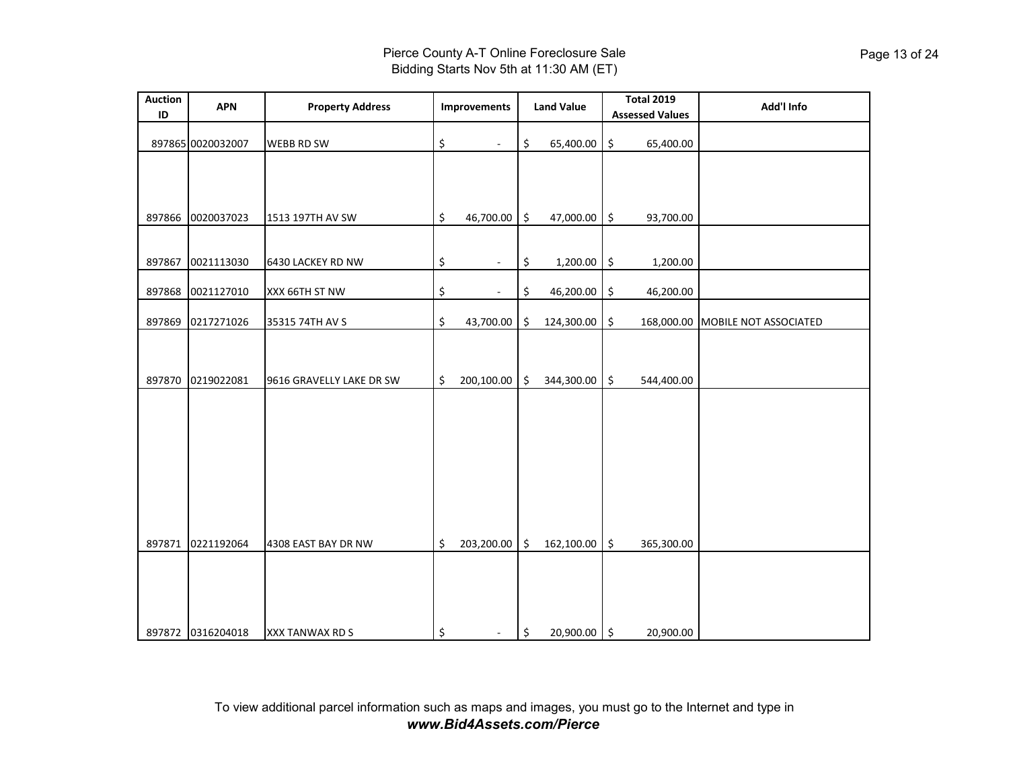| <b>Auction</b><br>ID | <b>APN</b>        | <b>Property Address</b>  |                           | <b>Improvements</b> |         | <b>Land Value</b> |         | <b>Total 2019</b><br><b>Assessed Values</b> | Add'l Info                       |
|----------------------|-------------------|--------------------------|---------------------------|---------------------|---------|-------------------|---------|---------------------------------------------|----------------------------------|
|                      | 897865 0020032007 | <b>WEBB RD SW</b>        | \$                        | $\blacksquare$      | \$      | 65,400.00         | \$      | 65,400.00                                   |                                  |
|                      |                   |                          |                           |                     |         |                   |         |                                             |                                  |
| 897866               | 0020037023        | 1513 197TH AV SW         | \$                        | 46,700.00           | $\zeta$ | 47,000.00 \$      |         | 93,700.00                                   |                                  |
| 897867               | 0021113030        | 6430 LACKEY RD NW        | \$                        | ٠                   | \$      | $1,200.00$ \$     |         | 1,200.00                                    |                                  |
| 897868               | 0021127010        | XXX 66TH ST NW           | \$                        | $\blacksquare$      | \$      | 46,200.00         | \$      | 46,200.00                                   |                                  |
| 897869               | 0217271026        | 35315 74TH AV S          | \$                        | 43,700.00           | \$      | 124,300.00        | \$      |                                             | 168,000.00 MOBILE NOT ASSOCIATED |
| 897870               | 0219022081        | 9616 GRAVELLY LAKE DR SW | $\boldsymbol{\mathsf{S}}$ | 200,100.00          | \$      | 344,300.00        | $\zeta$ | 544,400.00                                  |                                  |
|                      |                   |                          |                           |                     |         |                   |         |                                             |                                  |
| 897871               | 0221192064        | 4308 EAST BAY DR NW      | \$                        | 203,200.00          | \$      | 162,100.00        | \$      | 365,300.00                                  |                                  |
|                      | 897872 0316204018 | XXX TANWAX RD S          | \$                        | ÷.                  | \$      | 20,900.00 \$      |         | 20,900.00                                   |                                  |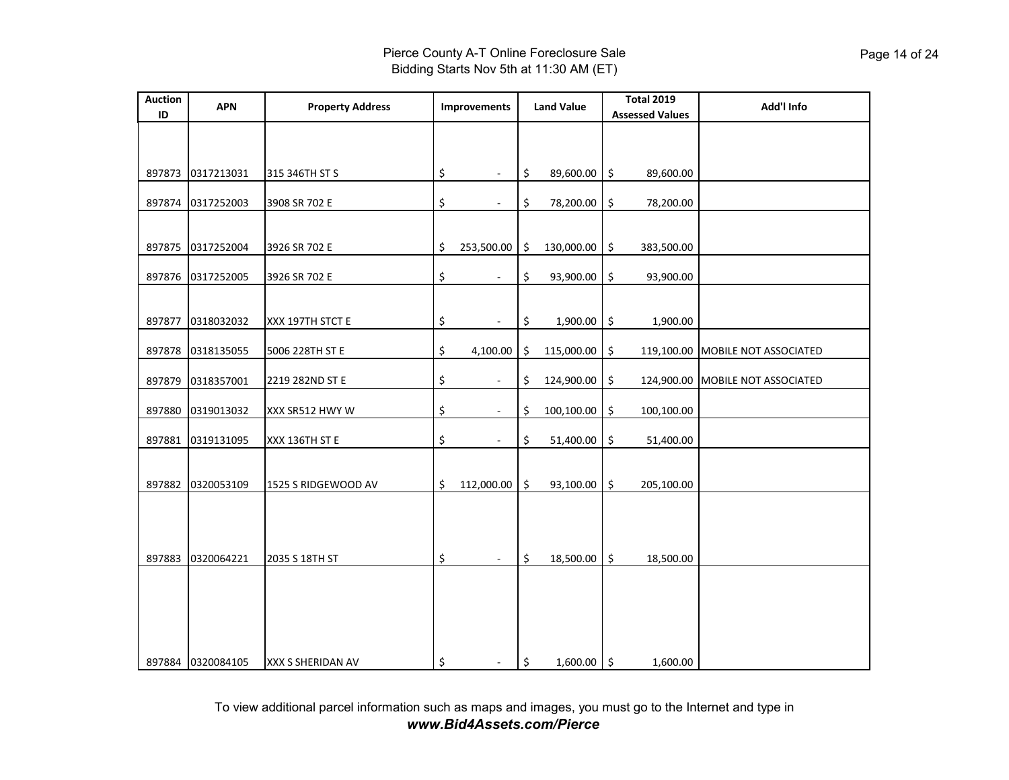| <b>Auction</b><br>ID | <b>APN</b>        | <b>Property Address</b> | <b>Improvements</b>            |               | <b>Land Value</b> |             | <b>Total 2019</b><br><b>Assessed Values</b> | Add'l Info                       |
|----------------------|-------------------|-------------------------|--------------------------------|---------------|-------------------|-------------|---------------------------------------------|----------------------------------|
|                      |                   |                         |                                |               |                   |             |                                             |                                  |
|                      | 897873 0317213031 | 315 346TH ST S          | \$<br>$\overline{\phantom{a}}$ | \$            | 89,600.00         | $\vert \xi$ | 89,600.00                                   |                                  |
| 897874               | 0317252003        | 3908 SR 702 E           | \$                             | \$            | 78,200.00         | \$          | 78,200.00                                   |                                  |
|                      | 897875 0317252004 | 3926 SR 702 E           | \$<br>253,500.00               | \$            | 130,000.00        | \$          | 383,500.00                                  |                                  |
| 897876               | 0317252005        | 3926 SR 702 E           | \$<br>$\overline{\phantom{a}}$ | \$            | 93,900.00         |             | \$<br>93,900.00                             |                                  |
| 897877               | 0318032032        | XXX 197TH STCT E        | \$<br>$\blacksquare$           | \$            | $1,900.00$ \$     |             | 1,900.00                                    |                                  |
| 897878               | 0318135055        | 5006 228TH ST E         | \$<br>4,100.00                 | \$            | 115,000.00        | \$          |                                             | 119,100.00 MOBILE NOT ASSOCIATED |
| 897879               | 0318357001        | 2219 282ND ST E         | \$                             | \$            | 124,900.00        | \$          |                                             | 124,900.00 MOBILE NOT ASSOCIATED |
| 897880               | 0319013032        | XXX SR512 HWY W         | \$<br>$\blacksquare$           | \$            | 100,100.00        | \$          | 100,100.00                                  |                                  |
| 897881               | 0319131095        | XXX 136TH ST E          | \$<br>$\sim$                   | \$            | 51,400.00         | \$          | 51,400.00                                   |                                  |
| 897882               | 0320053109        | 1525 S RIDGEWOOD AV     | \$<br>112,000.00               | \$            | 93,100.00         | \$          | 205,100.00                                  |                                  |
|                      |                   |                         |                                |               |                   |             |                                             |                                  |
| 897883               | 0320064221        | 2035 S 18TH ST          | \$                             | \$            | 18,500.00         | \$          | 18,500.00                                   |                                  |
|                      |                   |                         |                                |               |                   |             |                                             |                                  |
|                      |                   |                         |                                |               |                   |             |                                             |                                  |
|                      | 897884 0320084105 | XXX S SHERIDAN AV       | \$<br>$\sim$                   | $\frac{1}{2}$ | $1,600.00$ \$     |             | 1,600.00                                    |                                  |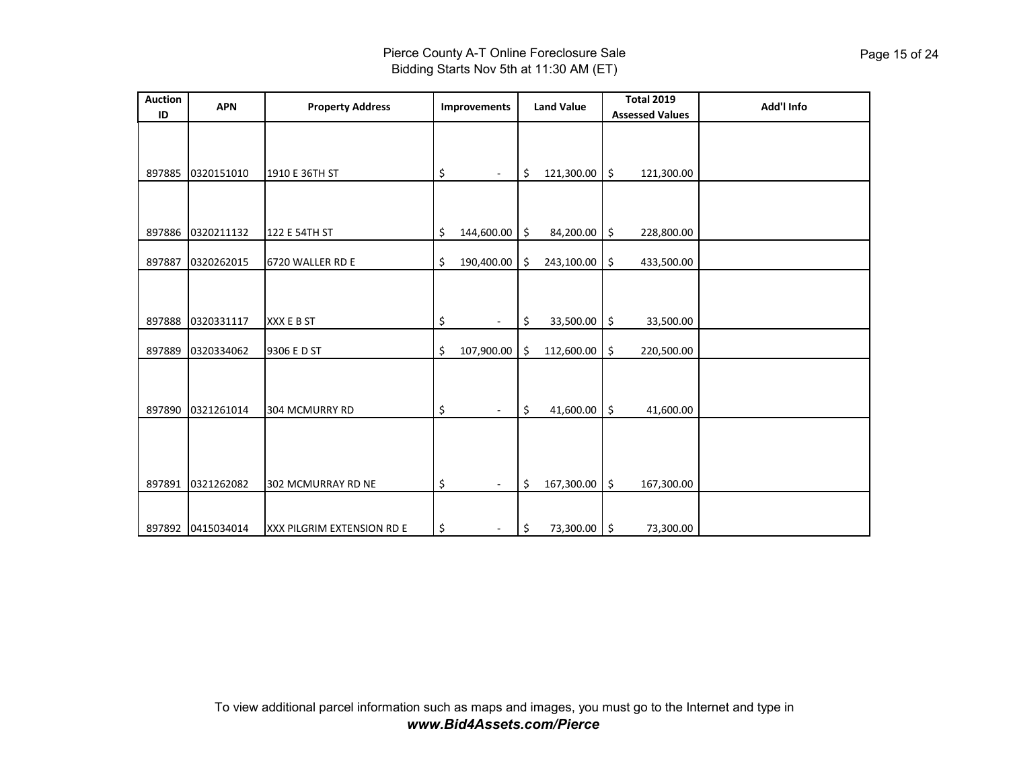| <b>Auction</b><br>ID | <b>APN</b> | <b>Property Address</b>    | Improvements                   | <b>Total 2019</b><br><b>Land Value</b><br><b>Assessed Values</b> |            |    | Add'l Info |  |
|----------------------|------------|----------------------------|--------------------------------|------------------------------------------------------------------|------------|----|------------|--|
|                      |            |                            |                                |                                                                  |            |    |            |  |
|                      |            |                            |                                |                                                                  |            |    |            |  |
| 897885               | 0320151010 | 1910 E 36TH ST             | \$                             | \$                                                               | 121,300.00 | \$ | 121,300.00 |  |
|                      |            |                            |                                |                                                                  |            |    |            |  |
| 897886               | 0320211132 | 122 E 54TH ST              | \$<br>144,600.00               | 5                                                                | 84,200.00  | \$ | 228,800.00 |  |
| 897887               | 0320262015 | 6720 WALLER RD E           | \$<br>190,400.00               | -\$                                                              | 243,100.00 | \$ | 433,500.00 |  |
|                      |            |                            |                                |                                                                  |            |    |            |  |
| 897888               | 0320331117 | XXX E B ST                 | \$                             | \$                                                               | 33,500.00  | \$ | 33,500.00  |  |
| 897889               | 0320334062 | 9306 E D ST                | \$<br>107,900.00               | \$                                                               | 112,600.00 | \$ | 220,500.00 |  |
|                      |            |                            |                                |                                                                  |            |    |            |  |
| 897890               | 0321261014 | 304 MCMURRY RD             | \$                             | \$                                                               | 41,600.00  | \$ | 41,600.00  |  |
| 897891               | 0321262082 | 302 MCMURRAY RD NE         | \$<br>$\overline{\phantom{a}}$ | \$                                                               | 167,300.00 | \$ | 167,300.00 |  |
| 897892               | 0415034014 | XXX PILGRIM EXTENSION RD E | \$                             | \$                                                               | 73,300.00  | \$ | 73,300.00  |  |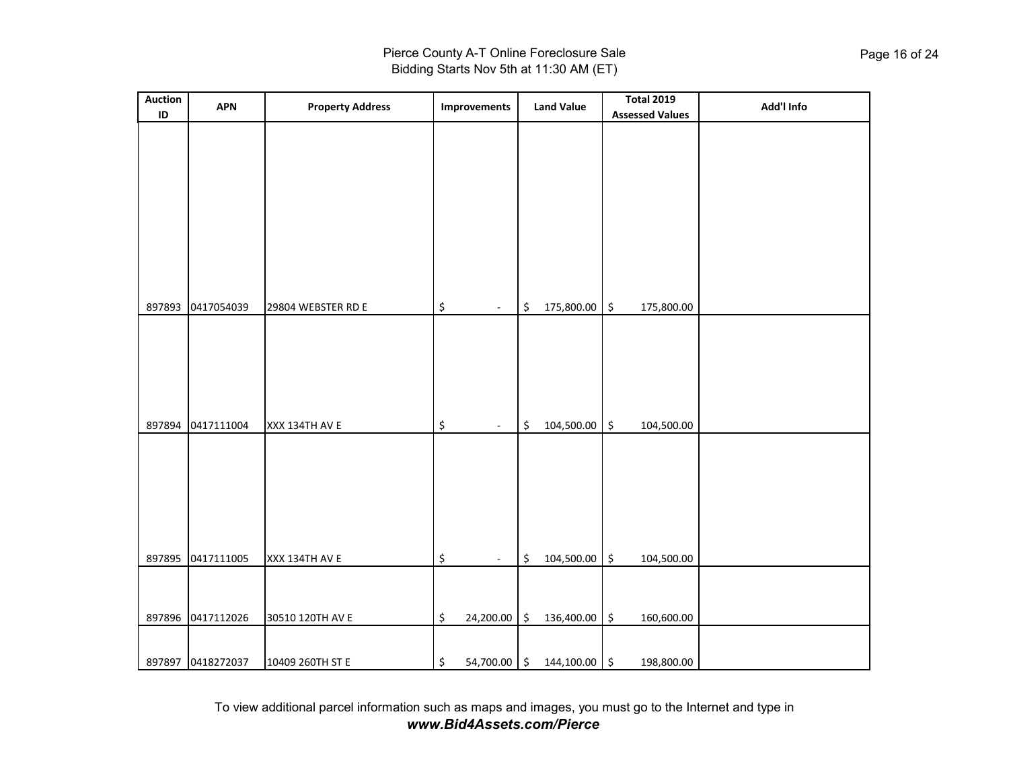| <b>Auction</b><br>ID | <b>APN</b>        | <b>Property Address</b> | Improvements                      |            | <b>Land Value</b> | <b>Total 2019</b><br><b>Assessed Values</b> | Add'l Info |
|----------------------|-------------------|-------------------------|-----------------------------------|------------|-------------------|---------------------------------------------|------------|
|                      |                   |                         |                                   |            |                   |                                             |            |
|                      |                   |                         |                                   |            |                   |                                             |            |
|                      |                   |                         |                                   |            |                   |                                             |            |
|                      |                   |                         |                                   |            |                   |                                             |            |
|                      |                   |                         |                                   |            |                   |                                             |            |
|                      |                   |                         |                                   |            |                   |                                             |            |
| 897893               | 0417054039        | 29804 WEBSTER RD E      | \$<br>$\blacksquare$              | \$         | 175,800.00        | \$<br>175,800.00                            |            |
|                      |                   |                         |                                   |            |                   |                                             |            |
|                      |                   |                         |                                   |            |                   |                                             |            |
|                      |                   |                         |                                   |            |                   |                                             |            |
|                      | 897894 0417111004 | XXX 134TH AV E          | \$<br>$\mathcal{L}_{\mathcal{A}}$ | \$         | 104,500.00        | $\frac{1}{2}$<br>104,500.00                 |            |
|                      |                   |                         |                                   |            |                   |                                             |            |
|                      |                   |                         |                                   |            |                   |                                             |            |
|                      |                   |                         |                                   |            |                   |                                             |            |
| 897895               | 0417111005        | XXX 134TH AV E          | \$<br>$\overline{\phantom{a}}$    | \$         | 104,500.00        | \$<br>104,500.00                            |            |
|                      |                   |                         |                                   |            |                   |                                             |            |
|                      | 897896 0417112026 | 30510 120TH AV E        | \$<br>24,200.00                   | $\vert$ \$ | 136,400.00        | \$<br>160,600.00                            |            |
|                      |                   |                         |                                   |            |                   |                                             |            |
|                      | 897897 0418272037 | 10409 260TH ST E        | \$<br>54,700.00 \$                |            | 144,100.00 \$     | 198,800.00                                  |            |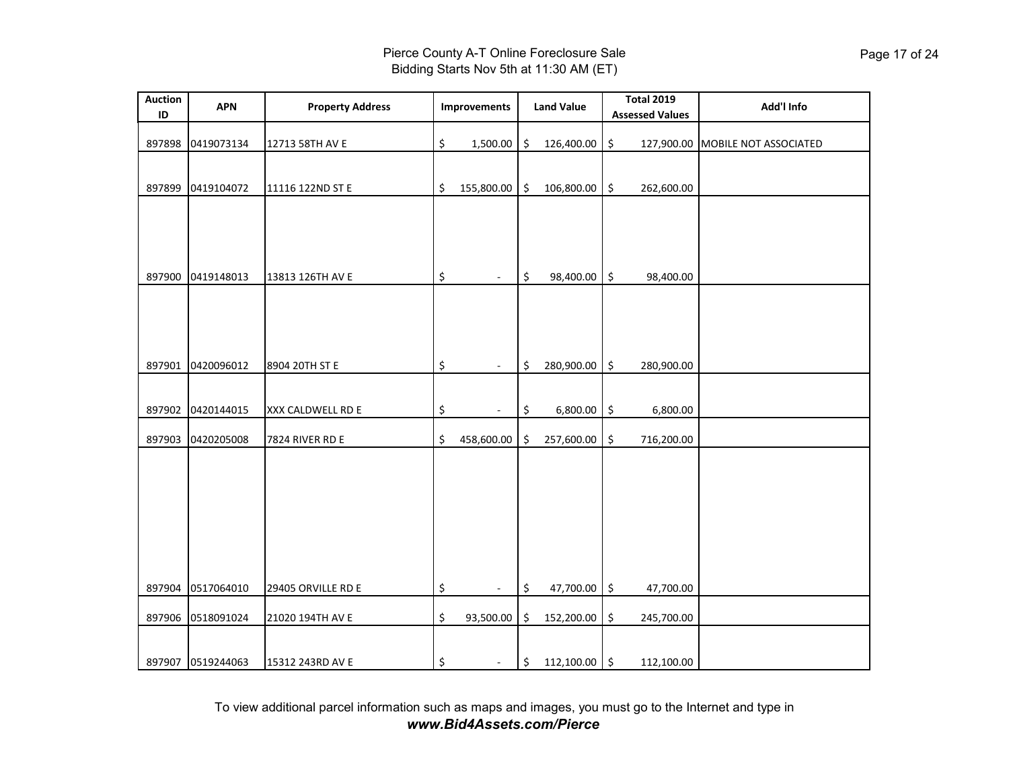| <b>Auction</b><br>ID | <b>APN</b>        | <b>Property Address</b> | <b>Improvements</b>               |      | <b>Land Value</b> | <b>Total 2019</b><br><b>Assessed Values</b> | Add'l Info                       |
|----------------------|-------------------|-------------------------|-----------------------------------|------|-------------------|---------------------------------------------|----------------------------------|
| 897898               | 0419073134        | 12713 58TH AV E         | \$<br>1,500.00                    | \$   | 126,400.00        | \$                                          | 127,900.00 MOBILE NOT ASSOCIATED |
| 897899               | 0419104072        | 11116 122ND ST E        | \$<br>155,800.00                  | ۱\$  | 106,800.00        | \$<br>262,600.00                            |                                  |
|                      |                   |                         |                                   |      |                   |                                             |                                  |
| 897900               | 0419148013        | 13813 126TH AV E        | \$<br>$\mathcal{L}_{\mathcal{A}}$ | \$   | 98,400.00         | \$<br>98,400.00                             |                                  |
|                      |                   |                         |                                   |      |                   |                                             |                                  |
|                      |                   |                         |                                   |      |                   |                                             |                                  |
| 897901               | 0420096012        | 8904 20TH ST E          | \$<br>$\sim$                      | \$   | 280,900.00        | \$<br>280,900.00                            |                                  |
| 897902               | 0420144015        | XXX CALDWELL RD E       | \$                                | \$   | 6,800.00          | \$<br>6,800.00                              |                                  |
| 897903               | 0420205008        | 7824 RIVER RD E         | \$<br>458,600.00                  | \$   | 257,600.00        | \$<br>716,200.00                            |                                  |
|                      |                   |                         |                                   |      |                   |                                             |                                  |
|                      |                   |                         |                                   |      |                   |                                             |                                  |
|                      |                   |                         |                                   |      |                   |                                             |                                  |
|                      |                   |                         |                                   |      |                   |                                             |                                  |
| 897904               | 0517064010        | 29405 ORVILLE RD E      | \$<br>$\omega$                    | \$   | 47,700.00         | \$<br>47,700.00                             |                                  |
| 897906               | 0518091024        | 21020 194TH AV E        | \$<br>93,500.00                   | \$   | 152,200.00        | \$<br>245,700.00                            |                                  |
|                      | 897907 0519244063 | 15312 243RD AV E        | \$<br>$\sim$                      | \$ ا | 112,100.00 \$     | 112,100.00                                  |                                  |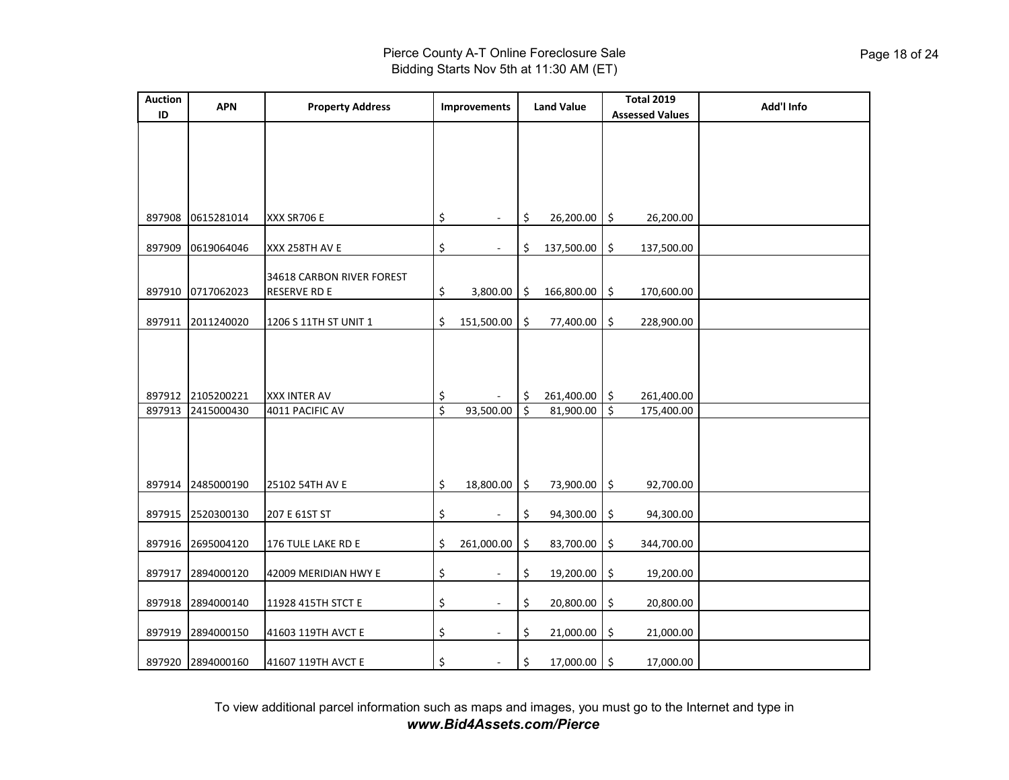## Pierce County A-T Online Foreclosure Sale Bidding Starts Nov 5th at 11:30 AM (ET)

| <b>Auction</b><br>ID | <b>APN</b>        | <b>Property Address</b>                          | Improvements                   | <b>Land Value</b> |            | <b>Total 2019</b><br><b>Assessed Values</b> |            | Add'l Info |
|----------------------|-------------------|--------------------------------------------------|--------------------------------|-------------------|------------|---------------------------------------------|------------|------------|
|                      |                   |                                                  |                                |                   |            |                                             |            |            |
|                      |                   |                                                  |                                |                   |            |                                             |            |            |
|                      |                   |                                                  |                                |                   |            |                                             |            |            |
| 897908               | 0615281014        | XXX SR706 E                                      | \$<br>$\overline{a}$           | \$                | 26,200.00  | \$                                          | 26,200.00  |            |
|                      |                   |                                                  |                                |                   |            |                                             |            |            |
| 897909               | 0619064046        | XXX 258TH AV E                                   | \$<br>$\overline{a}$           | \$                | 137,500.00 | \$                                          | 137,500.00 |            |
| 897910               | 0717062023        | 34618 CARBON RIVER FOREST<br><b>RESERVE RD E</b> |                                |                   |            |                                             |            |            |
|                      |                   |                                                  | \$<br>3,800.00                 | \$                | 166,800.00 | \$                                          | 170,600.00 |            |
| 897911               | 2011240020        | 1206 S 11TH ST UNIT 1                            | \$<br>151,500.00               | \$                | 77,400.00  | \$                                          | 228,900.00 |            |
|                      |                   |                                                  |                                |                   |            |                                             |            |            |
|                      |                   |                                                  |                                |                   |            |                                             |            |            |
| 897912               | 2105200221        | <b>XXX INTER AV</b>                              | \$                             | \$                | 261,400.00 | \$                                          | 261,400.00 |            |
| 897913               | 2415000430        | 4011 PACIFIC AV                                  | \$<br>93,500.00                | \$                | 81,900.00  | \$                                          | 175,400.00 |            |
|                      |                   |                                                  |                                |                   |            |                                             |            |            |
|                      |                   |                                                  |                                |                   |            |                                             |            |            |
| 897914               | 2485000190        | 25102 54TH AV E                                  | \$<br>18,800.00                | \$                | 73,900.00  | \$                                          | 92,700.00  |            |
| 897915               | 2520300130        | 207 E 61ST ST                                    | \$                             | \$                | 94,300.00  | \$                                          | 94,300.00  |            |
|                      |                   |                                                  |                                |                   |            |                                             |            |            |
| 897916               | 2695004120        | 176 TULE LAKE RD E                               | \$<br>261,000.00               | \$                | 83,700.00  | \$                                          | 344,700.00 |            |
| 897917               | 2894000120        | 42009 MERIDIAN HWY E                             | \$<br>$\overline{\phantom{a}}$ | \$                | 19,200.00  | \$                                          | 19,200.00  |            |
| 897918               | 2894000140        | 11928 415TH STCT E                               | \$<br>$\overline{\phantom{a}}$ | \$                | 20,800.00  | \$                                          | 20,800.00  |            |
|                      |                   |                                                  | \$                             |                   |            |                                             |            |            |
| 897919               | 2894000150        | 41603 119TH AVCT E                               | $\ddot{\phantom{1}}$           | \$                | 21,000.00  | \$                                          | 21,000.00  |            |
|                      | 897920 2894000160 | 41607 119TH AVCT E                               | \$                             | \$                | 17,000.00  | $\ddot{\phi}$                               | 17,000.00  |            |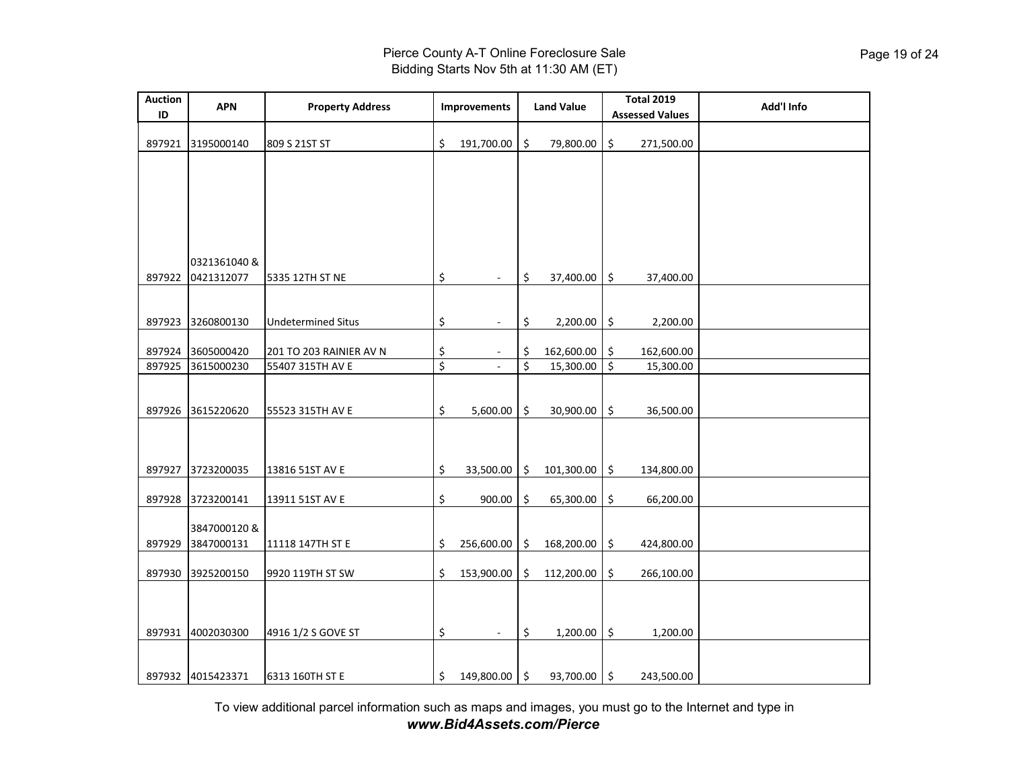| <b>Auction</b><br>ID | <b>APN</b>                 | <b>Property Address</b>   | Improvements        |                  | <b>Land Value</b> |                         | <b>Total 2019</b><br><b>Assessed Values</b> | Add'l Info |
|----------------------|----------------------------|---------------------------|---------------------|------------------|-------------------|-------------------------|---------------------------------------------|------------|
| 897921               | 3195000140                 | 809 S 21ST ST             | \$<br>191,700.00    | Ś.               | 79,800.00         | \$                      | 271,500.00                                  |            |
|                      |                            |                           |                     |                  |                   |                         |                                             |            |
|                      |                            |                           |                     |                  |                   |                         |                                             |            |
|                      |                            |                           |                     |                  |                   |                         |                                             |            |
|                      |                            |                           |                     |                  |                   |                         |                                             |            |
| 897922               | 0321361040 &<br>0421312077 | 5335 12TH ST NE           | \$                  | \$               | 37,400.00         | \$                      | 37,400.00                                   |            |
|                      |                            |                           |                     |                  |                   |                         |                                             |            |
|                      | 897923 3260800130          | <b>Undetermined Situs</b> | \$                  | \$               | 2,200.00          | $\ddot{\bm{\zeta}}$     | 2,200.00                                    |            |
| 897924               | 3605000420                 | 201 TO 203 RAINIER AV N   | \$                  | \$               | 162,600.00        | \$                      | 162,600.00                                  |            |
| 897925               | 3615000230                 | 55407 315TH AV E          | \$                  | $\overline{\xi}$ | 15,300.00         | $\overline{\mathsf{S}}$ | 15,300.00                                   |            |
|                      |                            |                           |                     |                  |                   |                         |                                             |            |
| 897926               | 3615220620                 | 55523 315TH AV E          | \$<br>5,600.00      | $\zeta$          | 30,900.00         | \$                      | 36,500.00                                   |            |
|                      |                            |                           |                     |                  |                   |                         |                                             |            |
|                      |                            |                           |                     |                  |                   |                         |                                             |            |
| 897927               | 3723200035                 | 13816 51ST AV E           | \$<br>33,500.00     | ا \$             | 101,300.00        | \$                      | 134,800.00                                  |            |
| 897928               | 3723200141                 | 13911 51ST AV E           | \$<br>900.00        | \$.              | 65,300.00         | \$                      | 66,200.00                                   |            |
|                      | 3847000120 &               |                           |                     |                  |                   |                         |                                             |            |
| 897929               | 3847000131                 | 11118 147TH ST E          | \$<br>256,600.00    | -Ś               | 168,200.00        | \$                      | 424,800.00                                  |            |
| 897930               | 3925200150                 | 9920 119TH ST SW          | \$<br>153,900.00    | \$ ا             | 112,200.00        | $\ddot{\mathsf{S}}$     | 266,100.00                                  |            |
|                      |                            |                           |                     |                  |                   |                         |                                             |            |
|                      | 897931 4002030300          | 4916 1/2 S GOVE ST        | \$<br>$\sim$        | \$               | 1,200.00          | \$                      | 1,200.00                                    |            |
|                      |                            |                           |                     |                  |                   |                         |                                             |            |
|                      | 897932 4015423371          | 6313 160TH ST E           | \$<br>149,800.00 \$ |                  | 93,700.00 \$      |                         | 243,500.00                                  |            |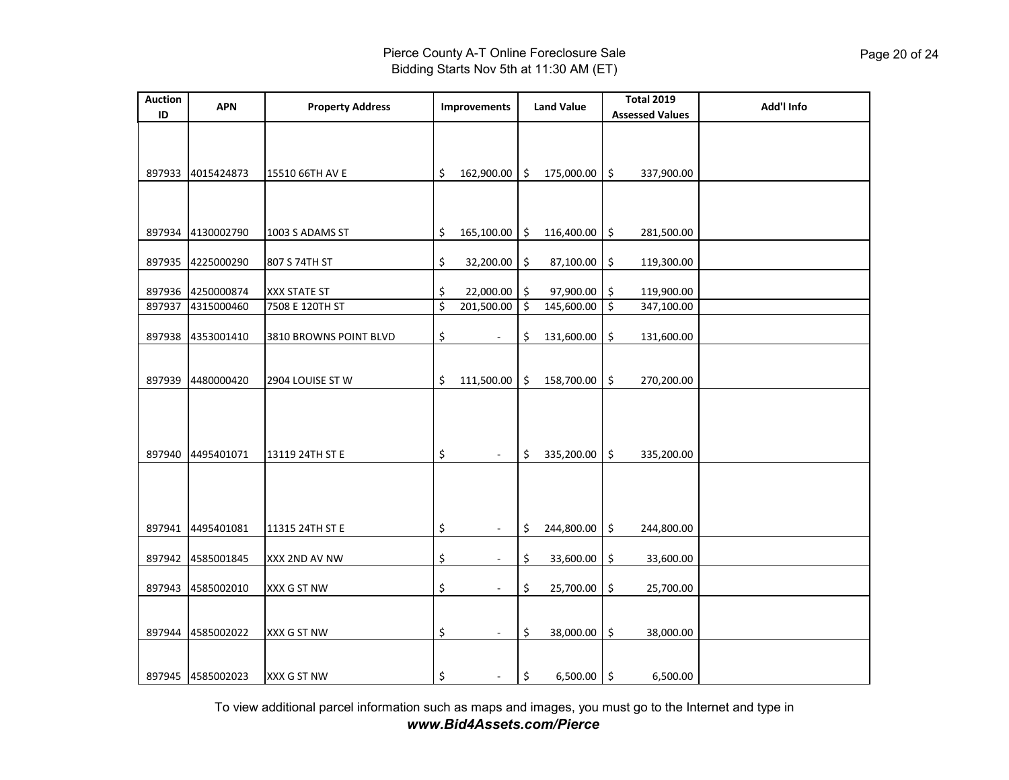| <b>Auction</b><br>ID | <b>APN</b>        | <b>Property Address</b> | Improvements                   |         | <b>Land Value</b> |                          | <b>Total 2019</b><br><b>Assessed Values</b> | Add'l Info |
|----------------------|-------------------|-------------------------|--------------------------------|---------|-------------------|--------------------------|---------------------------------------------|------------|
|                      |                   |                         |                                |         |                   |                          |                                             |            |
|                      |                   |                         |                                |         |                   |                          |                                             |            |
| 897933               | 4015424873        | 15510 66TH AV E         | \$<br>162,900.00               | ۱\$     | 175,000.00        | \$                       | 337,900.00                                  |            |
|                      |                   |                         |                                |         |                   |                          |                                             |            |
|                      |                   |                         |                                |         |                   |                          |                                             |            |
| 897934               | 4130002790        | 1003 S ADAMS ST         | \$<br>165,100.00               | -\$     | 116,400.00        | \$                       | 281,500.00                                  |            |
| 897935               | 4225000290        | 807 S 74TH ST           | \$<br>32,200.00                | \$      | 87,100.00         | \$                       | 119,300.00                                  |            |
|                      |                   |                         |                                |         |                   |                          |                                             |            |
|                      | 897936 4250000874 | XXX STATE ST            | \$<br>22,000.00                | \$      | 97,900.00         | \$                       | 119,900.00                                  |            |
| 897937               | 4315000460        | 7508 E 120TH ST         | \$<br>201,500.00               | ۱\$     | 145,600.00        | $\overline{\mathcal{S}}$ | 347,100.00                                  |            |
|                      | 897938 4353001410 |                         | ÷.                             | \$      | 131,600.00        |                          | 131,600.00                                  |            |
|                      |                   | 3810 BROWNS POINT BLVD  | \$                             |         |                   | \$                       |                                             |            |
|                      |                   |                         |                                |         |                   |                          |                                             |            |
| 897939               | 4480000420        | 2904 LOUISE ST W        | \$<br>111,500.00               | ا \$    | 158,700.00        | \$                       | 270,200.00                                  |            |
|                      |                   |                         |                                |         |                   |                          |                                             |            |
|                      |                   |                         |                                |         |                   |                          |                                             |            |
|                      |                   |                         |                                |         |                   |                          |                                             |            |
| 897940               | 4495401071        | 13119 24TH ST E         | \$<br>$\overline{\phantom{a}}$ | \$.     | 335,200.00        | \$                       | 335,200.00                                  |            |
|                      |                   |                         |                                |         |                   |                          |                                             |            |
|                      |                   |                         |                                |         |                   |                          |                                             |            |
|                      |                   |                         |                                |         |                   |                          |                                             |            |
|                      | 897941 4495401081 | 11315 24TH ST E         | \$                             | \$      | 244,800.00        | \$                       | 244,800.00                                  |            |
|                      |                   |                         |                                |         |                   |                          |                                             |            |
| 897942               | 4585001845        | XXX 2ND AV NW           | \$<br>÷                        | \$      | 33,600.00         | \$                       | 33,600.00                                   |            |
| 897943               | 4585002010        | XXX G ST NW             | \$<br>$\overline{\phantom{a}}$ | \$      | 25,700.00         | \$                       | 25,700.00                                   |            |
|                      |                   |                         |                                |         |                   |                          |                                             |            |
|                      |                   |                         |                                |         |                   |                          |                                             |            |
|                      | 897944 4585002022 | XXX G ST NW             | \$<br>$\overline{\phantom{a}}$ | \$      | 38,000.00         | \$                       | 38,000.00                                   |            |
|                      |                   |                         |                                |         |                   |                          |                                             |            |
|                      | 897945 4585002023 | XXX G ST NW             | \$                             | $\zeta$ | 6,500.00 \$       |                          | 6,500.00                                    |            |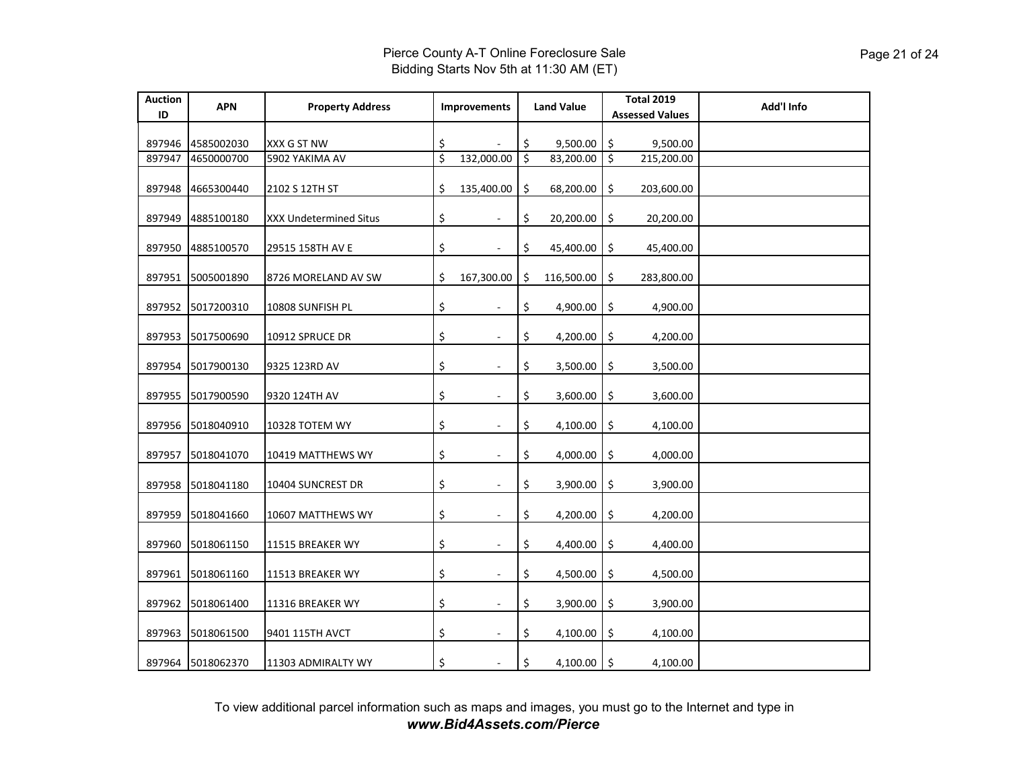| <b>Auction</b><br>ID | <b>APN</b>        | <b>Property Address</b> | <b>Improvements</b>            | <b>Land Value</b> |    | <b>Total 2019</b><br><b>Assessed Values</b> | Add'l Info |
|----------------------|-------------------|-------------------------|--------------------------------|-------------------|----|---------------------------------------------|------------|
| 897946               | 4585002030        | XXX G ST NW             | \$                             | \$<br>9,500.00    | \$ | 9,500.00                                    |            |
| 897947               | 4650000700        | 5902 YAKIMA AV          | \$<br>132,000.00               | \$<br>83,200.00   | \$ | 215,200.00                                  |            |
| 897948               | 4665300440        | 2102 S 12TH ST          | \$<br>135,400.00               | \$<br>68,200.00   | \$ | 203,600.00                                  |            |
| 897949               | 4885100180        | XXX Undetermined Situs  | \$                             | \$<br>20,200.00   | \$ | 20,200.00                                   |            |
| 897950               | 4885100570        | 29515 158TH AV E        | \$<br>$\sim$                   | \$<br>45,400.00   | \$ | 45,400.00                                   |            |
| 897951               | 5005001890        | 8726 MORELAND AV SW     | \$<br>167,300.00               | \$<br>116,500.00  | \$ | 283,800.00                                  |            |
| 897952               | 5017200310        | 10808 SUNFISH PL        | \$<br>$\blacksquare$           | \$<br>4,900.00    | \$ | 4,900.00                                    |            |
| 897953               | 5017500690        | 10912 SPRUCE DR         | \$<br>$\overline{\phantom{a}}$ | \$<br>4,200.00    | \$ | 4,200.00                                    |            |
| 897954               | 5017900130        | 9325 123RD AV           | \$                             | \$<br>3,500.00    | \$ | 3,500.00                                    |            |
| 897955               | 5017900590        | 9320 124TH AV           | \$                             | \$<br>3,600.00    | \$ | 3,600.00                                    |            |
| 897956               | 5018040910        | 10328 TOTEM WY          | \$<br>÷,                       | \$<br>4,100.00    | \$ | 4,100.00                                    |            |
| 897957               | 5018041070        | 10419 MATTHEWS WY       | \$<br>$\overline{\phantom{a}}$ | \$<br>4,000.00    | \$ | 4,000.00                                    |            |
| 897958               | 5018041180        | 10404 SUNCREST DR       | \$                             | \$<br>3,900.00    | \$ | 3,900.00                                    |            |
| 897959               | 5018041660        | 10607 MATTHEWS WY       | \$<br>$\sim$                   | \$<br>4,200.00    | \$ | 4,200.00                                    |            |
| 897960               | 5018061150        | 11515 BREAKER WY        | \$<br>$\overline{\phantom{a}}$ | \$<br>4,400.00    | \$ | 4,400.00                                    |            |
| 897961               | 5018061160        | 11513 BREAKER WY        | \$<br>$\overline{\phantom{a}}$ | \$<br>4,500.00    | \$ | 4,500.00                                    |            |
| 897962               | 5018061400        | 11316 BREAKER WY        | \$<br>$\overline{\phantom{a}}$ | \$<br>3,900.00    | \$ | 3,900.00                                    |            |
| 897963               | 5018061500        | 9401 115TH AVCT         | \$                             | \$<br>4,100.00    | \$ | 4,100.00                                    |            |
|                      | 897964 5018062370 | 11303 ADMIRALTY WY      | \$                             | \$<br>4,100.00    | Ŝ. | 4,100.00                                    |            |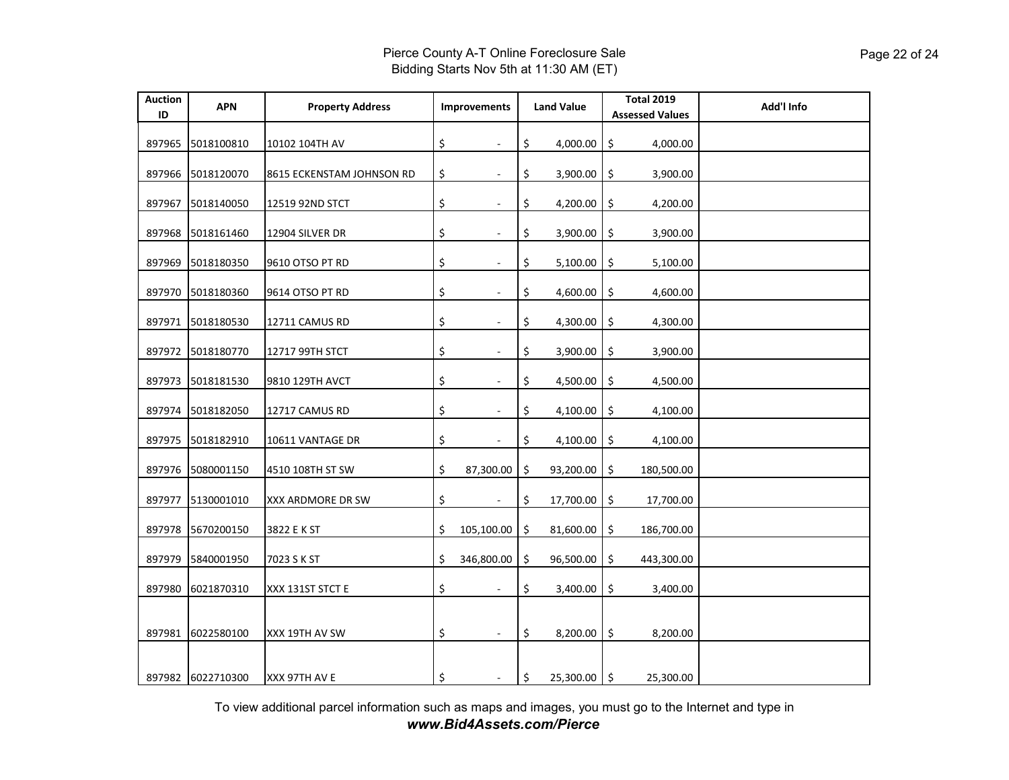| <b>Auction</b><br>ID | <b>APN</b>        | <b>Property Address</b>   | <b>Improvements</b>            |    | <b>Land Value</b> | <b>Total 2019</b><br><b>Assessed Values</b> | Add'l Info |
|----------------------|-------------------|---------------------------|--------------------------------|----|-------------------|---------------------------------------------|------------|
| 897965               | 5018100810        | 10102 104TH AV            | \$<br>$\sim$                   | \$ | 4,000.00          | 4,000.00<br>\$                              |            |
| 897966               | 5018120070        | 8615 ECKENSTAM JOHNSON RD | \$<br>$\bar{a}$                | \$ | 3,900.00          | \$<br>3,900.00                              |            |
| 897967               | 5018140050        | 12519 92ND STCT           | \$<br>$\overline{a}$           | \$ | 4,200.00          | 4,200.00<br>\$                              |            |
| 897968               | 5018161460        | 12904 SILVER DR           | \$                             | \$ | 3,900.00          | \$<br>3,900.00                              |            |
| 897969               | 5018180350        | 9610 OTSO PT RD           | \$<br>$\sim$                   | \$ | 5,100.00          | \$<br>5,100.00                              |            |
| 897970               | 5018180360        | 9614 OTSO PT RD           | \$<br>$\overline{\phantom{a}}$ | \$ | 4,600.00          | \$<br>4,600.00                              |            |
| 897971               | 5018180530        | 12711 CAMUS RD            | \$<br>÷.                       | \$ | 4,300.00          | \$<br>4,300.00                              |            |
| 897972               | 5018180770        | 12717 99TH STCT           | \$                             | \$ | 3,900.00          | \$<br>3,900.00                              |            |
| 897973               | 5018181530        | 9810 129TH AVCT           | \$<br>$\sim$                   | \$ | 4,500.00          | 4,500.00<br>\$                              |            |
| 897974               | 5018182050        | 12717 CAMUS RD            | \$<br>$\overline{\phantom{a}}$ | \$ | 4,100.00          | \$<br>4,100.00                              |            |
| 897975               | 5018182910        | 10611 VANTAGE DR          | \$<br>ä,                       | \$ | 4,100.00          | 4,100.00<br>\$                              |            |
| 897976               | 5080001150        | 4510 108TH ST SW          | \$<br>87,300.00                | \$ | 93,200.00         | \$<br>180,500.00                            |            |
| 897977               | 5130001010        | XXX ARDMORE DR SW         | \$                             | \$ | 17,700.00         | \$<br>17,700.00                             |            |
| 897978               | 5670200150        | 3822 E K ST               | \$<br>105,100.00               | Ŝ. | 81,600.00         | \$<br>186,700.00                            |            |
| 897979               | 5840001950        | 7023 S K ST               | \$<br>346,800.00               | \$ | 96,500.00         | \$<br>443,300.00                            |            |
| 897980               | 6021870310        | XXX 131ST STCT E          | \$                             | \$ | 3,400.00          | \$<br>3,400.00                              |            |
|                      |                   |                           |                                |    |                   |                                             |            |
| 897981               | 6022580100        | XXX 19TH AV SW            | \$<br>$\blacksquare$           | \$ | 8,200.00          | \$<br>8,200.00                              |            |
|                      | 897982 6022710300 | XXX 97TH AV E             | \$                             | \$ | 25,300.00 \$      | 25,300.00                                   |            |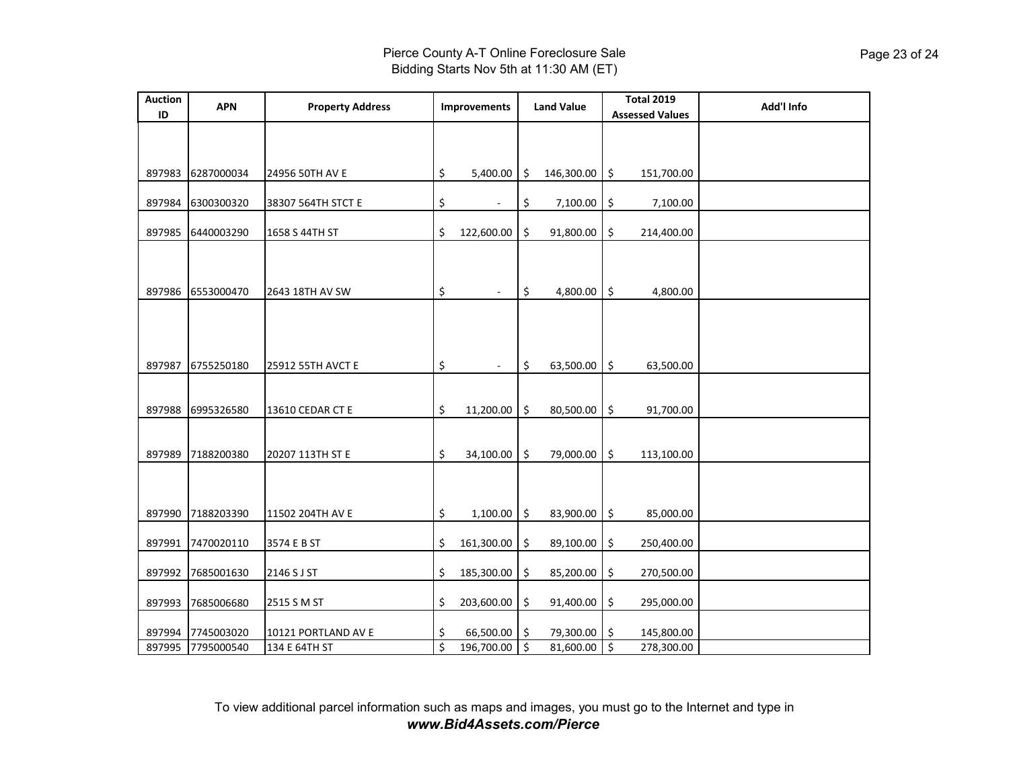|            |                                        |                                                  | Improvements             |                                      | <b>Land Value</b>                                |           | <b>Total 2019</b><br><b>Assessed Values</b>                                                                                                          | Add'l Info                            |
|------------|----------------------------------------|--------------------------------------------------|--------------------------|--------------------------------------|--------------------------------------------------|-----------|------------------------------------------------------------------------------------------------------------------------------------------------------|---------------------------------------|
|            |                                        |                                                  |                          |                                      |                                                  |           |                                                                                                                                                      |                                       |
| 6287000034 | 24956 50TH AV E                        | \$                                               | 5,400.00                 | $\ddot{\mathsf{S}}$                  |                                                  |           | 151,700.00                                                                                                                                           |                                       |
| 6300300320 | 38307 564TH STCT E                     | \$                                               | $\overline{\phantom{a}}$ | \$                                   |                                                  | \$        | 7,100.00                                                                                                                                             |                                       |
| 6440003290 | 1658 S 44TH ST                         | \$                                               | 122,600.00               | \$                                   |                                                  | \$        | 214,400.00                                                                                                                                           |                                       |
| 6553000470 | 2643 18TH AV SW                        | \$                                               |                          | \$                                   |                                                  | \$        | 4,800.00                                                                                                                                             |                                       |
|            |                                        |                                                  |                          |                                      |                                                  |           |                                                                                                                                                      |                                       |
| 6755250180 | 25912 55TH AVCT E                      | \$                                               |                          | \$                                   |                                                  |           | 63,500.00                                                                                                                                            |                                       |
| 6995326580 | 13610 CEDAR CT E                       | \$                                               | 11,200.00                | \$                                   |                                                  | \$        | 91,700.00                                                                                                                                            |                                       |
| 7188200380 | 20207 113TH ST E                       | \$                                               | 34,100.00                | Ŝ.                                   | 79,000.00                                        | \$        | 113,100.00                                                                                                                                           |                                       |
|            |                                        |                                                  |                          |                                      |                                                  |           |                                                                                                                                                      |                                       |
|            |                                        |                                                  |                          |                                      |                                                  |           |                                                                                                                                                      |                                       |
| 7685001630 | 2146 S J ST                            | \$                                               | 185,300.00               | \$                                   | 85,200.00                                        | \$        | 270,500.00                                                                                                                                           |                                       |
| 7685006680 | 2515 S M ST                            | \$                                               | 203,600.00               | \$                                   |                                                  | \$        | 295,000.00                                                                                                                                           |                                       |
| 7745003020 | 10121 PORTLAND AV E                    | \$                                               |                          |                                      |                                                  |           | 145,800.00                                                                                                                                           |                                       |
|            | 7188203390<br>7470020110<br>7795000540 | 11502 204TH AV E<br>3574 E B ST<br>134 E 64TH ST | \$<br>\$<br>\$           | 1,100.00<br>161,300.00<br>196,700.00 | \$<br>\$<br>66,500.00 \$<br>$\boldsymbol{\zeta}$ | 89,100.00 | 146,300.00 \$<br>7,100.00<br>91,800.00<br>4,800.00<br>63,500.00 \$<br>80,500.00<br>83,900.00 \$<br>\$<br>91,400.00<br>79,300.00 \$<br>ى<br>81,600.00 | 85,000.00<br>250,400.00<br>278,300.00 |